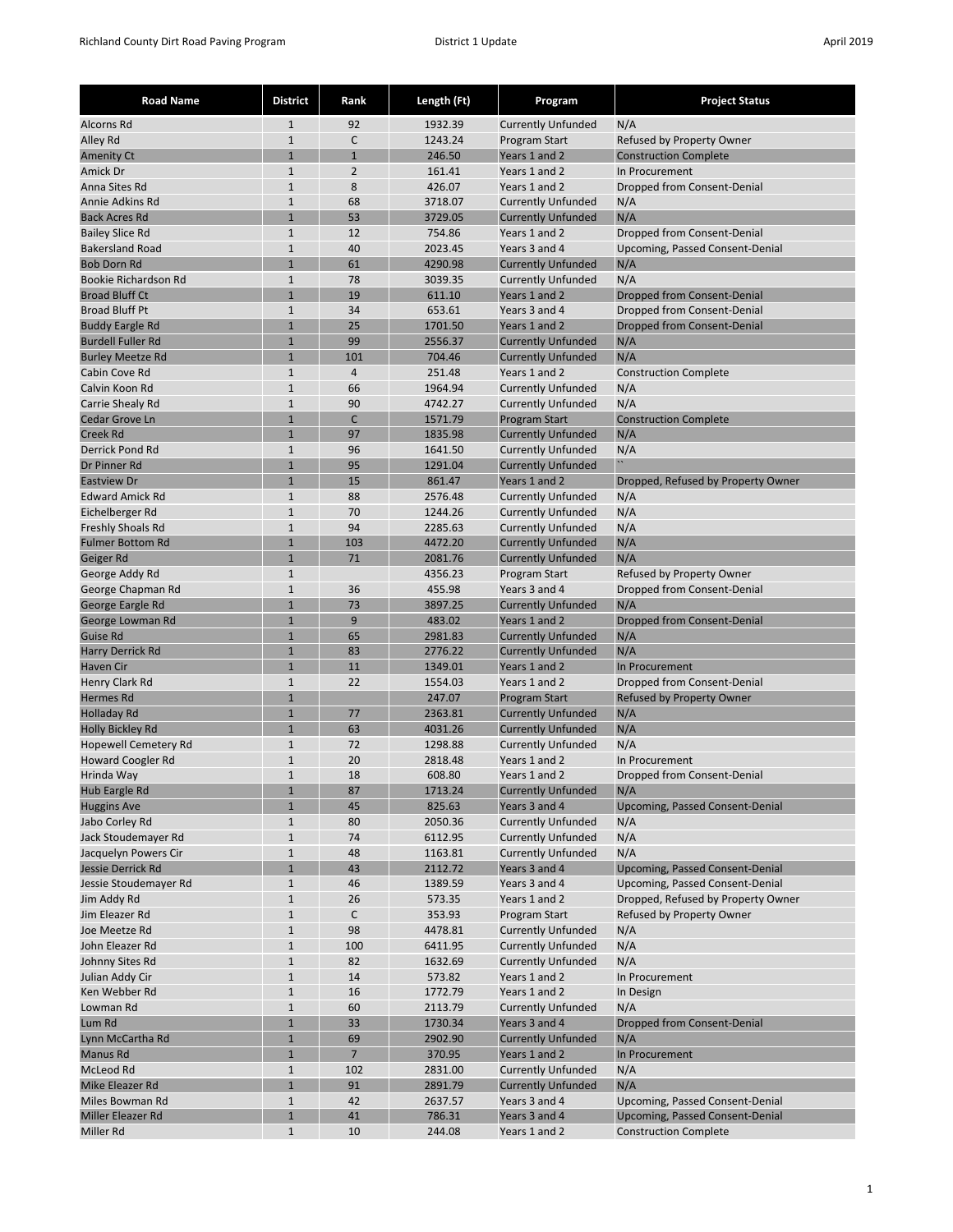| <b>Road Name</b>                     | <b>District</b>              | Rank           | Length (Ft)        | Program                                                | <b>Project Status</b>                                                 |
|--------------------------------------|------------------------------|----------------|--------------------|--------------------------------------------------------|-----------------------------------------------------------------------|
| Alcorns Rd                           | 1                            | 92             | 1932.39            | <b>Currently Unfunded</b>                              | N/A                                                                   |
| Alley Rd                             | $1\,$                        | C              | 1243.24            | Program Start                                          | Refused by Property Owner                                             |
| <b>Amenity Ct</b>                    | $\mathbf{1}$                 | $\mathbf{1}$   | 246.50             | Years 1 and 2                                          | <b>Construction Complete</b>                                          |
| Amick Dr                             | $\mathbf{1}$                 | $\overline{2}$ | 161.41             | Years 1 and 2                                          | In Procurement                                                        |
| Anna Sites Rd                        | $\mathbf{1}$                 | 8              | 426.07             | Years 1 and 2                                          | Dropped from Consent-Denial                                           |
| Annie Adkins Rd                      | $\mathbf{1}$                 | 68             | 3718.07            | <b>Currently Unfunded</b>                              | N/A                                                                   |
| <b>Back Acres Rd</b>                 | $\mathbf{1}$                 | 53             | 3729.05            | <b>Currently Unfunded</b>                              | N/A                                                                   |
| <b>Bailey Slice Rd</b>               | $1\,$                        | 12             | 754.86             | Years 1 and 2                                          | Dropped from Consent-Denial                                           |
| <b>Bakersland Road</b>               | $\mathbf{1}$                 | 40             | 2023.45            | Years 3 and 4                                          | Upcoming, Passed Consent-Denial                                       |
| <b>Bob Dorn Rd</b>                   | $\mathbf{1}$                 | 61             | 4290.98            | <b>Currently Unfunded</b>                              | N/A                                                                   |
| Bookie Richardson Rd                 | $1\,$                        | 78             | 3039.35            | <b>Currently Unfunded</b>                              | N/A                                                                   |
| <b>Broad Bluff Ct</b>                | $\mathbf{1}$                 | 19             | 611.10             | Years 1 and 2                                          | Dropped from Consent-Denial                                           |
| <b>Broad Bluff Pt</b>                | $\mathbf{1}$                 | 34             | 653.61             | Years 3 and 4                                          | Dropped from Consent-Denial                                           |
| <b>Buddy Eargle Rd</b>               | $\mathbf{1}$                 | 25             | 1701.50            | Years 1 and 2                                          | Dropped from Consent-Denial                                           |
| <b>Burdell Fuller Rd</b>             | $\mathbf{1}$                 | 99             | 2556.37            | <b>Currently Unfunded</b>                              | N/A                                                                   |
| <b>Burley Meetze Rd</b>              | $\mathbf{1}$                 | 101            | 704.46             | <b>Currently Unfunded</b>                              | N/A                                                                   |
| Cabin Cove Rd                        | $\mathbf{1}$                 | $\overline{4}$ | 251.48             | Years 1 and 2                                          | <b>Construction Complete</b>                                          |
| Calvin Koon Rd                       | $\mathbf{1}$                 | 66             | 1964.94            | <b>Currently Unfunded</b>                              | N/A                                                                   |
| Carrie Shealy Rd                     | $\mathbf{1}$                 | 90<br>C        | 4742.27            | <b>Currently Unfunded</b>                              | N/A                                                                   |
| Cedar Grove Ln                       | $\mathbf{1}$                 |                | 1571.79<br>1835.98 | <b>Program Start</b>                                   | <b>Construction Complete</b>                                          |
| <b>Creek Rd</b><br>Derrick Pond Rd   | $\mathbf{1}$<br>$\mathbf{1}$ | 97             | 1641.50            | <b>Currently Unfunded</b>                              | N/A                                                                   |
| Dr Pinner Rd                         | $\mathbf{1}$                 | 96<br>95       | 1291.04            | <b>Currently Unfunded</b><br><b>Currently Unfunded</b> | N/A<br>$\boldsymbol{\theta}$                                          |
| <b>Eastview Dr</b>                   | $\mathbf{1}$                 | 15             | 861.47             | Years 1 and 2                                          | Dropped, Refused by Property Owner                                    |
| <b>Edward Amick Rd</b>               | $\mathbf{1}$                 | 88             | 2576.48            | <b>Currently Unfunded</b>                              | N/A                                                                   |
| Eichelberger Rd                      | $\mathbf{1}$                 | 70             | 1244.26            | <b>Currently Unfunded</b>                              | N/A                                                                   |
| Freshly Shoals Rd                    | $1\,$                        | 94             | 2285.63            | <b>Currently Unfunded</b>                              | N/A                                                                   |
| <b>Fulmer Bottom Rd</b>              | $\mathbf{1}$                 | 103            | 4472.20            | <b>Currently Unfunded</b>                              | N/A                                                                   |
| Geiger Rd                            | $\mathbf{1}$                 | 71             | 2081.76            | <b>Currently Unfunded</b>                              | N/A                                                                   |
| George Addy Rd                       | $\mathbf{1}$                 |                | 4356.23            | Program Start                                          | Refused by Property Owner                                             |
| George Chapman Rd                    | $1\,$                        | 36             | 455.98             | Years 3 and 4                                          | Dropped from Consent-Denial                                           |
| George Eargle Rd                     | $\mathbf{1}$                 | 73             | 3897.25            | <b>Currently Unfunded</b>                              | N/A                                                                   |
| George Lowman Rd                     | $\mathbf{1}$                 | 9              | 483.02             | Years 1 and 2                                          | <b>Dropped from Consent-Denial</b>                                    |
| Guise Rd                             | $\mathbf{1}$                 | 65             | 2981.83            | <b>Currently Unfunded</b>                              | N/A                                                                   |
| <b>Harry Derrick Rd</b>              | $\mathbf{1}$                 | 83             | 2776.22            | <b>Currently Unfunded</b>                              | N/A                                                                   |
| Haven Cir                            | $\mathbf{1}$                 | 11             | 1349.01            | Years 1 and 2                                          | In Procurement                                                        |
| Henry Clark Rd                       | $\mathbf{1}$                 | 22             | 1554.03            | Years 1 and 2                                          | Dropped from Consent-Denial                                           |
| <b>Hermes Rd</b>                     | $\mathbf{1}$                 |                | 247.07             | <b>Program Start</b>                                   | Refused by Property Owner                                             |
| <b>Holladay Rd</b>                   | $\mathbf 1$                  | 77             | 2363.81            | <b>Currently Unfunded</b>                              | N/A                                                                   |
| <b>Holly Bickley Rd</b>              | $\mathbf{1}$                 | 63             | 4031.26            | <b>Currently Unfunded</b>                              | N/A                                                                   |
| <b>Hopewell Cemetery Rd</b>          | $1\,$                        | 72             | 1298.88            | <b>Currently Unfunded</b>                              | N/A                                                                   |
| <b>Howard Coogler Rd</b>             | $\mathbf{1}$                 | 20             | 2818.48            | Years 1 and 2                                          | In Procurement                                                        |
| Hrinda Way                           | $\mathbf{1}$                 | 18             | 608.80             | Years 1 and 2                                          | Dropped from Consent-Denial                                           |
| Hub Eargle Rd                        | $\mathbf{1}$                 | 87             | 1713.24            | <b>Currently Unfunded</b>                              | N/A                                                                   |
| <b>Huggins Ave</b>                   | $\mathbf{1}$                 | 45             | 825.63             | Years 3 and 4                                          | Upcoming, Passed Consent-Denial                                       |
| Jabo Corley Rd                       | $\mathbf{1}$                 | 80             | 2050.36            | <b>Currently Unfunded</b>                              | N/A                                                                   |
| Jack Stoudemayer Rd                  | $\mathbf 1$                  | 74             | 6112.95            | <b>Currently Unfunded</b>                              | N/A                                                                   |
| Jacquelyn Powers Cir                 | $1\,$                        | 48             | 1163.81            | <b>Currently Unfunded</b>                              | N/A                                                                   |
| Jessie Derrick Rd                    | $\mathbf 1$                  | 43             | 2112.72            | Years 3 and 4                                          | Upcoming, Passed Consent-Denial                                       |
| Jessie Stoudemayer Rd<br>Jim Addy Rd | $\mathbf 1$<br>$\mathbf{1}$  | 46<br>26       | 1389.59<br>573.35  | Years 3 and 4<br>Years 1 and 2                         | Upcoming, Passed Consent-Denial<br>Dropped, Refused by Property Owner |
| Jim Eleazer Rd                       | $\mathbf 1$                  | C              | 353.93             | Program Start                                          | Refused by Property Owner                                             |
| Joe Meetze Rd                        | $\mathbf 1$                  | 98             | 4478.81            | <b>Currently Unfunded</b>                              | N/A                                                                   |
| John Eleazer Rd                      | $\mathbf{1}$                 | 100            | 6411.95            | <b>Currently Unfunded</b>                              | N/A                                                                   |
| Johnny Sites Rd                      | $\mathbf 1$                  | 82             | 1632.69            | <b>Currently Unfunded</b>                              | N/A                                                                   |
| Julian Addy Cir                      | $\mathbf 1$                  | 14             | 573.82             | Years 1 and 2                                          | In Procurement                                                        |
| Ken Webber Rd                        | $\mathbf{1}$                 | 16             | 1772.79            | Years 1 and 2                                          | In Design                                                             |
| Lowman Rd                            | $\mathbf 1$                  | 60             | 2113.79            | <b>Currently Unfunded</b>                              | N/A                                                                   |
| Lum Rd                               | $\mathbf 1$                  | 33             | 1730.34            | Years 3 and 4                                          | Dropped from Consent-Denial                                           |
| Lynn McCartha Rd                     | $\mathbf 1$                  | 69             | 2902.90            | <b>Currently Unfunded</b>                              | N/A                                                                   |
| Manus Rd                             | $\mathbf{1}$                 | $\overline{7}$ | 370.95             | Years 1 and 2                                          | In Procurement                                                        |
| McLeod Rd                            | $\,1\,$                      | 102            | 2831.00            | <b>Currently Unfunded</b>                              | N/A                                                                   |
| Mike Eleazer Rd                      | $\mathbf 1$                  | 91             | 2891.79            | <b>Currently Unfunded</b>                              | N/A                                                                   |
| Miles Bowman Rd                      | $\mathbf 1$                  | 42             | 2637.57            | Years 3 and 4                                          | Upcoming, Passed Consent-Denial                                       |
| Miller Eleazer Rd                    | $\mathbf{1}$                 | 41             | 786.31             | Years 3 and 4                                          | Upcoming, Passed Consent-Denial                                       |
| Miller Rd                            | $\mathbf{1}$                 | 10             | 244.08             | Years 1 and 2                                          | <b>Construction Complete</b>                                          |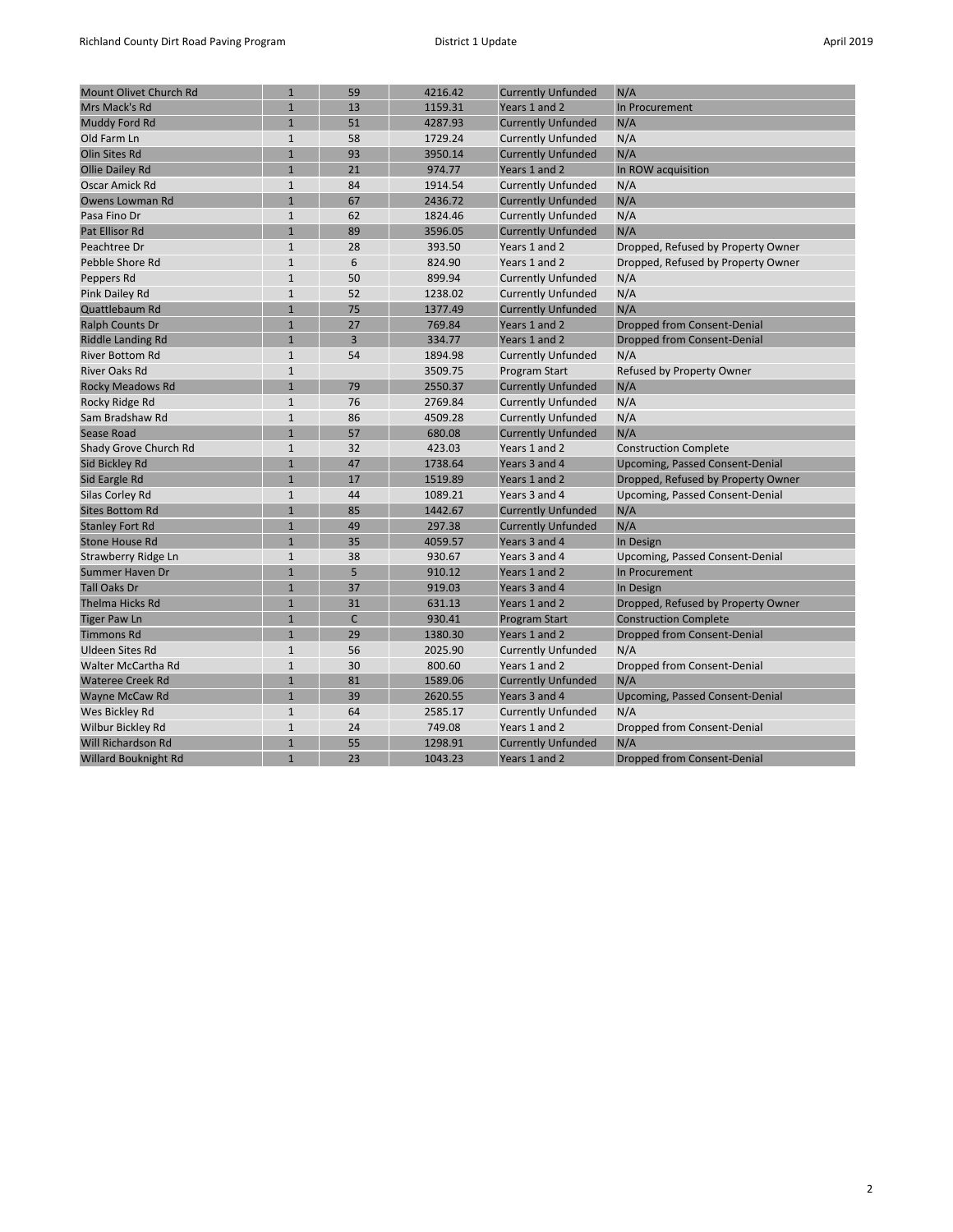| <b>Mount Olivet Church Rd</b> | $\mathbf 1$    | 59             | 4216.42 | <b>Currently Unfunded</b> | N/A                                    |
|-------------------------------|----------------|----------------|---------|---------------------------|----------------------------------------|
| Mrs Mack's Rd                 | $\mathbf{1}$   | 13             | 1159.31 | Years 1 and 2             | In Procurement                         |
| Muddy Ford Rd                 | $\mathbf{1}$   | 51             | 4287.93 | <b>Currently Unfunded</b> | N/A                                    |
| Old Farm Ln                   | $\mathbf 1$    | 58             | 1729.24 | <b>Currently Unfunded</b> | N/A                                    |
| Olin Sites Rd                 | $\mathbf{1}$   | 93             | 3950.14 | <b>Currently Unfunded</b> | N/A                                    |
| <b>Ollie Dailey Rd</b>        | $\mathbf{1}$   | 21             | 974.77  | Years 1 and 2             | In ROW acquisition                     |
| Oscar Amick Rd                | $\mathbf{1}$   | 84             | 1914.54 | <b>Currently Unfunded</b> | N/A                                    |
| Owens Lowman Rd               | $\mathbf{1}$   | 67             | 2436.72 | <b>Currently Unfunded</b> | N/A                                    |
| Pasa Fino Dr                  | $\mathbf{1}$   | 62             | 1824.46 | <b>Currently Unfunded</b> | N/A                                    |
| Pat Ellisor Rd                | $\overline{1}$ | 89             | 3596.05 | <b>Currently Unfunded</b> | N/A                                    |
| Peachtree Dr                  | $\mathbf{1}$   | 28             | 393.50  | Years 1 and 2             | Dropped, Refused by Property Owner     |
| Pebble Shore Rd               | $\mathbf{1}$   | 6              | 824.90  | Years 1 and 2             | Dropped, Refused by Property Owner     |
| Peppers Rd                    | $\mathbf{1}$   | 50             | 899.94  | <b>Currently Unfunded</b> | N/A                                    |
| Pink Dailey Rd                | $\mathbf{1}$   | 52             | 1238.02 | <b>Currently Unfunded</b> | N/A                                    |
| Quattlebaum Rd                | $\mathbf{1}$   | 75             | 1377.49 | <b>Currently Unfunded</b> | N/A                                    |
| Ralph Counts Dr               | $\mathbf 1$    | 27             | 769.84  | Years 1 and 2             | Dropped from Consent-Denial            |
| Riddle Landing Rd             | $\overline{1}$ | $\overline{3}$ | 334.77  | Years 1 and 2             | <b>Dropped from Consent-Denial</b>     |
| <b>River Bottom Rd</b>        | $\mathbf{1}$   | 54             | 1894.98 | <b>Currently Unfunded</b> | N/A                                    |
| <b>River Oaks Rd</b>          | $\mathbf{1}$   |                | 3509.75 | Program Start             | Refused by Property Owner              |
| <b>Rocky Meadows Rd</b>       | $\mathbf{1}$   | 79             | 2550.37 | <b>Currently Unfunded</b> | N/A                                    |
| Rocky Ridge Rd                | $\mathbf{1}$   | 76             | 2769.84 | <b>Currently Unfunded</b> | N/A                                    |
| Sam Bradshaw Rd               | $\mathbf{1}$   | 86             | 4509.28 | <b>Currently Unfunded</b> | N/A                                    |
| Sease Road                    | $\overline{1}$ | 57             | 680.08  | <b>Currently Unfunded</b> | N/A                                    |
| Shady Grove Church Rd         | $\mathbf{1}$   | 32             | 423.03  | Years 1 and 2             | <b>Construction Complete</b>           |
| Sid Bickley Rd                | $\mathbf 1$    | 47             | 1738.64 | Years 3 and 4             | <b>Upcoming, Passed Consent-Denial</b> |
| Sid Eargle Rd                 | $\mathbf{1}$   | 17             | 1519.89 | Years 1 and 2             | Dropped, Refused by Property Owner     |
| Silas Corley Rd               | $\mathbf{1}$   | 44             | 1089.21 | Years 3 and 4             | Upcoming, Passed Consent-Denial        |
| <b>Sites Bottom Rd</b>        | $\mathbf{1}$   | 85             | 1442.67 | <b>Currently Unfunded</b> | N/A                                    |
| <b>Stanley Fort Rd</b>        | $\mathbf{1}$   | 49             | 297.38  | <b>Currently Unfunded</b> | N/A                                    |
| <b>Stone House Rd</b>         | $\mathbf{1}$   | 35             | 4059.57 | Years 3 and 4             | In Design                              |
| Strawberry Ridge Ln           | $\mathbf{1}$   | 38             | 930.67  | Years 3 and 4             | Upcoming, Passed Consent-Denial        |
| <b>Summer Haven Dr</b>        | $\mathbf{1}$   | 5              | 910.12  | Years 1 and 2             | In Procurement                         |
| <b>Tall Oaks Dr</b>           | $\mathbf{1}$   | 37             | 919.03  | Years 3 and 4             | In Design                              |
| Thelma Hicks Rd               | $\mathbf{1}$   | 31             | 631.13  | Years 1 and 2             | Dropped, Refused by Property Owner     |
| <b>Tiger Paw Ln</b>           | $\mathbf 1$    | $\mathsf{C}$   | 930.41  | <b>Program Start</b>      | <b>Construction Complete</b>           |
| <b>Timmons Rd</b>             | $\mathbf 1$    | 29             | 1380.30 | Years 1 and 2             | Dropped from Consent-Denial            |
| <b>Uldeen Sites Rd</b>        | $\mathbf{1}$   | 56             | 2025.90 | <b>Currently Unfunded</b> | N/A                                    |
| Walter McCartha Rd            | $\mathbf 1$    | 30             | 800.60  | Years 1 and 2             | Dropped from Consent-Denial            |
| <b>Wateree Creek Rd</b>       | $\mathbf{1}$   | 81             | 1589.06 | <b>Currently Unfunded</b> | N/A                                    |
| Wayne McCaw Rd                | $\mathbf{1}$   | 39             | 2620.55 | Years 3 and 4             | Upcoming, Passed Consent-Denial        |
| Wes Bickley Rd                | $\mathbf 1$    | 64             | 2585.17 | <b>Currently Unfunded</b> | N/A                                    |
| Wilbur Bickley Rd             | $\mathbf 1$    | 24             | 749.08  | Years 1 and 2             | Dropped from Consent-Denial            |
| Will Richardson Rd            | $\mathbf{1}$   | 55             | 1298.91 | <b>Currently Unfunded</b> | N/A                                    |
| <b>Willard Bouknight Rd</b>   | $\mathbf{1}$   | 23             | 1043.23 | Years 1 and 2             | Dropped from Consent-Denial            |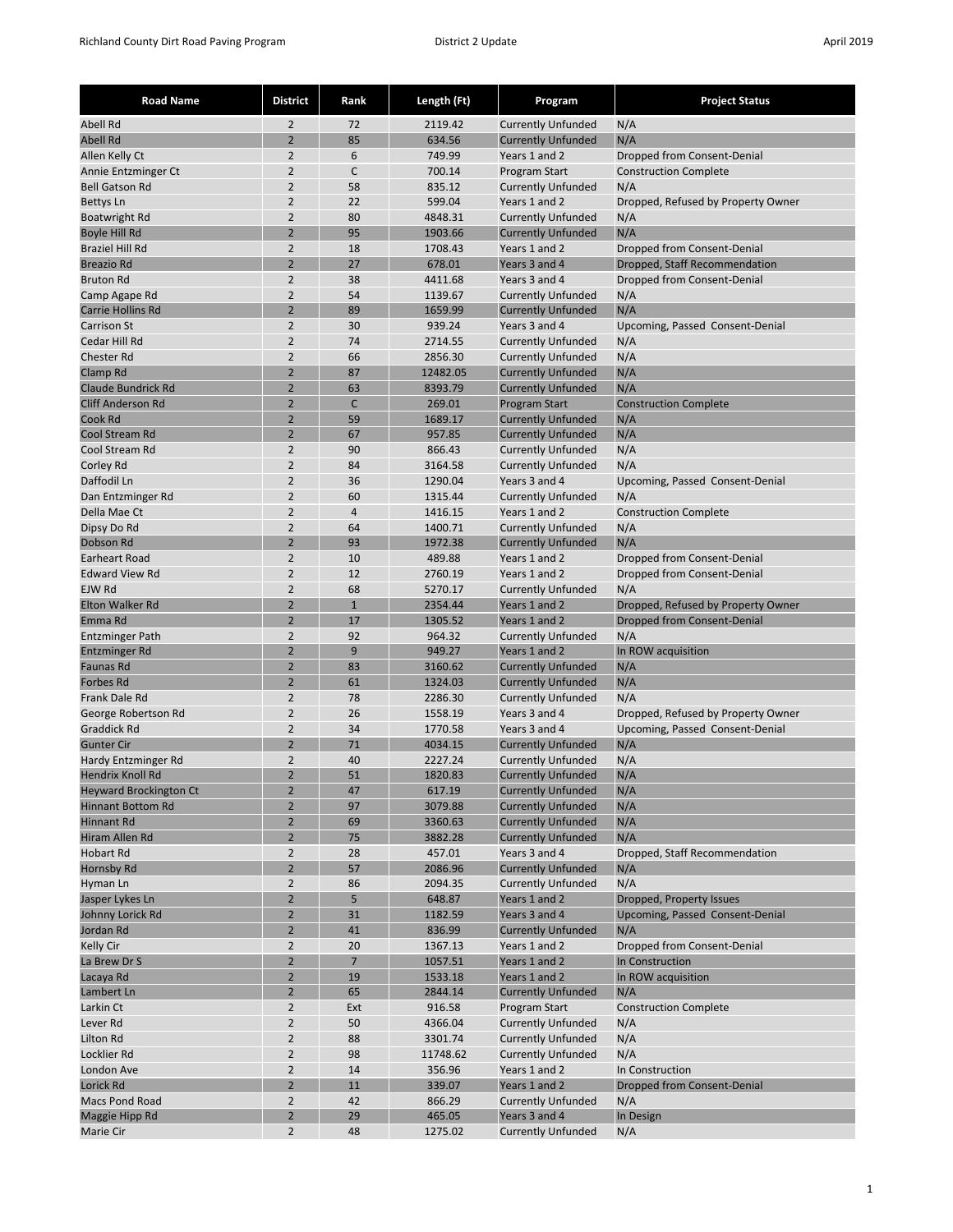| <b>Road Name</b>                    | <b>District</b>                  | Rank           | Length (Ft)       | Program                                                | <b>Project Status</b>              |
|-------------------------------------|----------------------------------|----------------|-------------------|--------------------------------------------------------|------------------------------------|
| <b>Abell Rd</b>                     | $\overline{2}$                   | 72             | 2119.42           | <b>Currently Unfunded</b>                              | N/A                                |
| <b>Abell Rd</b>                     | $\overline{2}$                   | 85             | 634.56            | <b>Currently Unfunded</b>                              | N/A                                |
| Allen Kelly Ct                      | $\overline{2}$                   | 6              | 749.99            | Years 1 and 2                                          | Dropped from Consent-Denial        |
| Annie Entzminger Ct                 | $\overline{2}$                   | C              | 700.14            | Program Start                                          | <b>Construction Complete</b>       |
| <b>Bell Gatson Rd</b>               | $\overline{2}$                   | 58             | 835.12            | <b>Currently Unfunded</b>                              | N/A                                |
| <b>Bettys Ln</b>                    | $\overline{2}$                   | 22             | 599.04            | Years 1 and 2                                          | Dropped, Refused by Property Owner |
| <b>Boatwright Rd</b>                | $\overline{2}$                   | 80             | 4848.31           | <b>Currently Unfunded</b>                              | N/A                                |
| Boyle Hill Rd                       | $\overline{2}$                   | 95             | 1903.66           | <b>Currently Unfunded</b>                              | N/A                                |
| <b>Braziel Hill Rd</b>              | $\overline{2}$                   | 18             | 1708.43           | Years 1 and 2                                          | Dropped from Consent-Denial        |
| <b>Breazio Rd</b>                   | $\overline{2}$                   | 27             | 678.01            | Years 3 and 4                                          | Dropped, Staff Recommendation      |
| <b>Bruton Rd</b>                    | $\overline{2}$                   | 38             | 4411.68           | Years 3 and 4                                          | Dropped from Consent-Denial        |
| Camp Agape Rd                       | $\overline{2}$                   | 54             | 1139.67           | <b>Currently Unfunded</b>                              | N/A                                |
| Carrie Hollins Rd                   | $\overline{2}$                   | 89             | 1659.99           | <b>Currently Unfunded</b>                              | N/A                                |
| <b>Carrison St</b>                  | $\overline{2}$                   | 30             | 939.24            | Years 3 and 4                                          | Upcoming, Passed Consent-Denial    |
| Cedar Hill Rd                       | $\overline{2}$                   | 74             | 2714.55           | <b>Currently Unfunded</b>                              | N/A                                |
| <b>Chester Rd</b>                   | $\overline{2}$                   | 66             | 2856.30           | <b>Currently Unfunded</b>                              | N/A                                |
| Clamp Rd                            | $\overline{2}$                   | 87             | 12482.05          | <b>Currently Unfunded</b>                              | N/A                                |
| <b>Claude Bundrick Rd</b>           | $\overline{2}$                   | 63             | 8393.79           | <b>Currently Unfunded</b>                              | N/A                                |
| <b>Cliff Anderson Rd</b><br>Cook Rd | $\overline{2}$<br>$\overline{2}$ | C<br>59        | 269.01            | <b>Program Start</b>                                   | <b>Construction Complete</b>       |
| Cool Stream Rd                      | $\overline{2}$                   | 67             | 1689.17<br>957.85 | <b>Currently Unfunded</b><br><b>Currently Unfunded</b> | N/A<br>N/A                         |
| Cool Stream Rd                      | $\overline{2}$                   | 90             | 866.43            | <b>Currently Unfunded</b>                              | N/A                                |
| Corley Rd                           | $\overline{2}$                   | 84             | 3164.58           | <b>Currently Unfunded</b>                              | N/A                                |
| Daffodil Ln                         | $\overline{2}$                   | 36             | 1290.04           | Years 3 and 4                                          | Upcoming, Passed Consent-Denial    |
| Dan Entzminger Rd                   | $\overline{2}$                   | 60             | 1315.44           | <b>Currently Unfunded</b>                              | N/A                                |
| Della Mae Ct                        | $\overline{2}$                   | $\overline{4}$ | 1416.15           | Years 1 and 2                                          | <b>Construction Complete</b>       |
| Dipsy Do Rd                         | $\overline{2}$                   | 64             | 1400.71           | <b>Currently Unfunded</b>                              | N/A                                |
| Dobson Rd                           | $\overline{2}$                   | 93             | 1972.38           | <b>Currently Unfunded</b>                              | N/A                                |
| <b>Earheart Road</b>                | $\overline{2}$                   | 10             | 489.88            | Years 1 and 2                                          | Dropped from Consent-Denial        |
| <b>Edward View Rd</b>               | $\overline{2}$                   | 12             | 2760.19           | Years 1 and 2                                          | Dropped from Consent-Denial        |
| EJW Rd                              | $\overline{2}$                   | 68             | 5270.17           | <b>Currently Unfunded</b>                              | N/A                                |
| Elton Walker Rd                     | $\overline{2}$                   | $\mathbf{1}$   | 2354.44           | Years 1 and 2                                          | Dropped, Refused by Property Owner |
| Emma Rd                             | $\overline{2}$                   | 17             | 1305.52           | Years 1 and 2                                          | Dropped from Consent-Denial        |
| <b>Entzminger Path</b>              | $\overline{2}$                   | 92             | 964.32            | <b>Currently Unfunded</b>                              | N/A                                |
| Entzminger Rd                       | $\overline{2}$                   | 9              | 949.27            | Years 1 and 2                                          | In ROW acquisition                 |
| <b>Faunas Rd</b>                    | $\overline{2}$                   | 83             | 3160.62           | <b>Currently Unfunded</b>                              | N/A                                |
| <b>Forbes Rd</b>                    | $\overline{2}$                   | 61             | 1324.03           | <b>Currently Unfunded</b>                              | N/A                                |
| Frank Dale Rd                       | $\overline{2}$                   | 78             | 2286.30           | <b>Currently Unfunded</b>                              | N/A                                |
| George Robertson Rd                 | $\overline{2}$                   | 26             | 1558.19           | Years 3 and 4                                          | Dropped, Refused by Property Owner |
| <b>Graddick Rd</b>                  | $\overline{2}$                   | 34             | 1770.58           | Years 3 and 4                                          | Upcoming, Passed Consent-Denial    |
| <b>Gunter Cir</b>                   | $\overline{2}$                   | 71             | 4034.15           | <b>Currently Unfunded</b>                              | N/A                                |
| Hardy Entzminger Rd                 | $\overline{2}$                   | 40             | 2227.24           | <b>Currently Unfunded</b>                              | N/A                                |
| <b>Hendrix Knoll Rd</b>             | $\overline{2}$                   | 51             | 1820.83           | <b>Currently Unfunded</b>                              | N/A                                |
| <b>Heyward Brockington Ct</b>       | $\overline{2}$                   | 47             | 617.19            | <b>Currently Unfunded</b>                              | N/A                                |
| <b>Hinnant Bottom Rd</b>            | $\overline{2}$                   | 97             | 3079.88           | <b>Currently Unfunded</b>                              | N/A                                |
| <b>Hinnant Rd</b>                   | $\overline{2}$                   | 69             | 3360.63           | <b>Currently Unfunded</b>                              | N/A                                |
| Hiram Allen Rd                      | $\overline{2}$                   | 75             | 3882.28           | <b>Currently Unfunded</b>                              | N/A                                |
| Hobart Rd                           | $\overline{2}$<br>$\overline{2}$ | 28<br>57       | 457.01<br>2086.96 | Years 3 and 4<br><b>Currently Unfunded</b>             | Dropped, Staff Recommendation      |
| Hornsby Rd<br>Hyman Ln              | $\overline{2}$                   | 86             | 2094.35           | <b>Currently Unfunded</b>                              | N/A<br>N/A                         |
| Jasper Lykes Ln                     | $\overline{2}$                   | 5              | 648.87            | Years 1 and 2                                          | Dropped, Property Issues           |
| Johnny Lorick Rd                    | $\overline{2}$                   | 31             | 1182.59           | Years 3 and 4                                          | Upcoming, Passed Consent-Denial    |
| Jordan Rd                           | $\overline{2}$                   | 41             | 836.99            | <b>Currently Unfunded</b>                              | N/A                                |
| Kelly Cir                           | $\overline{2}$                   | 20             | 1367.13           | Years 1 and 2                                          | Dropped from Consent-Denial        |
| La Brew Dr S                        | $\overline{2}$                   | $\overline{7}$ | 1057.51           | Years 1 and 2                                          | In Construction                    |
| Lacaya Rd                           | $\overline{2}$                   | 19             | 1533.18           | Years 1 and 2                                          | In ROW acquisition                 |
| Lambert Ln                          | $\overline{2}$                   | 65             | 2844.14           | <b>Currently Unfunded</b>                              | N/A                                |
| Larkin Ct                           | $\overline{2}$                   | Ext            | 916.58            | Program Start                                          | <b>Construction Complete</b>       |
| Lever Rd                            | $\overline{2}$                   | 50             | 4366.04           | <b>Currently Unfunded</b>                              | N/A                                |
| Lilton Rd                           | $\overline{2}$                   | 88             | 3301.74           | <b>Currently Unfunded</b>                              | N/A                                |
| Locklier Rd                         | $\overline{2}$                   | 98             | 11748.62          | <b>Currently Unfunded</b>                              | N/A                                |
| London Ave                          | $\overline{2}$                   | 14             | 356.96            | Years 1 and 2                                          | In Construction                    |
| Lorick Rd                           | $\overline{2}$                   | 11             | 339.07            | Years 1 and 2                                          | <b>Dropped from Consent-Denial</b> |
| Macs Pond Road                      | $\overline{2}$                   | 42             | 866.29            | <b>Currently Unfunded</b>                              | N/A                                |
| Maggie Hipp Rd                      | $\overline{2}$                   | 29             | 465.05            | Years 3 and 4                                          | In Design                          |
| Marie Cir                           | $\overline{2}$                   | 48             | 1275.02           | <b>Currently Unfunded</b>                              | N/A                                |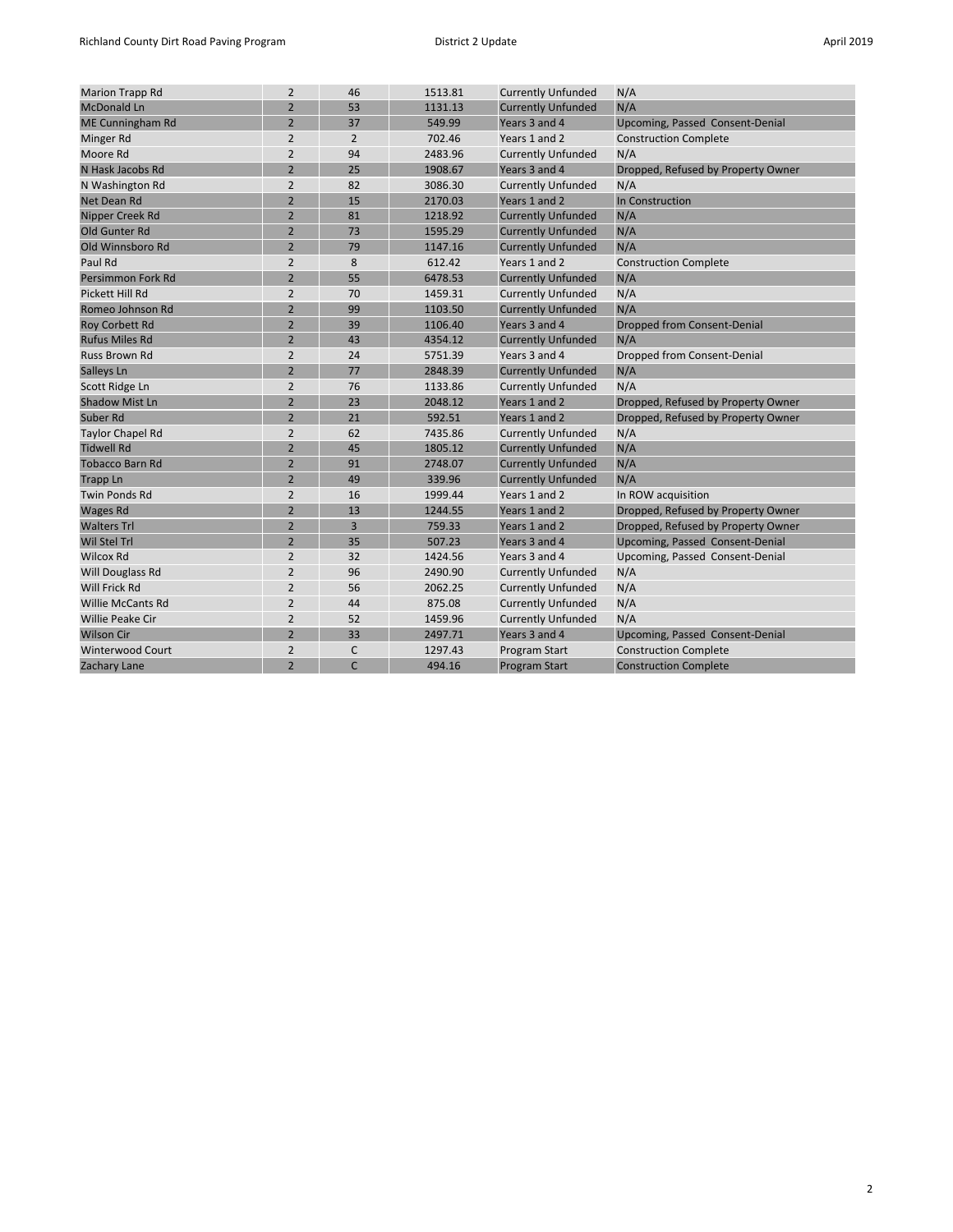| <b>Marion Trapp Rd</b>   | $\overline{2}$ | 46             | 1513.81 | <b>Currently Unfunded</b> | N/A                                |
|--------------------------|----------------|----------------|---------|---------------------------|------------------------------------|
| <b>McDonald Ln</b>       | $\overline{2}$ | 53             | 1131.13 | <b>Currently Unfunded</b> | N/A                                |
| <b>ME Cunningham Rd</b>  | $\overline{2}$ | 37             | 549.99  | Years 3 and 4             | Upcoming, Passed Consent-Denial    |
| Minger Rd                | $\overline{2}$ | $\overline{2}$ | 702.46  | Years 1 and 2             | <b>Construction Complete</b>       |
| Moore Rd                 | $\overline{2}$ | 94             | 2483.96 | <b>Currently Unfunded</b> | N/A                                |
| N Hask Jacobs Rd         | $\overline{2}$ | 25             | 1908.67 | Years 3 and 4             | Dropped, Refused by Property Owner |
| N Washington Rd          | $\overline{2}$ | 82             | 3086.30 | <b>Currently Unfunded</b> | N/A                                |
| Net Dean Rd              | $\overline{2}$ | 15             | 2170.03 | Years 1 and 2             | In Construction                    |
| Nipper Creek Rd          | $\overline{2}$ | 81             | 1218.92 | <b>Currently Unfunded</b> | N/A                                |
| Old Gunter Rd            | $\overline{2}$ | 73             | 1595.29 | <b>Currently Unfunded</b> | N/A                                |
| Old Winnsboro Rd         | $\overline{2}$ | 79             | 1147.16 | <b>Currently Unfunded</b> | N/A                                |
| Paul Rd                  | $\overline{2}$ | 8              | 612.42  | Years 1 and 2             | <b>Construction Complete</b>       |
| Persimmon Fork Rd        | $\overline{2}$ | 55             | 6478.53 | <b>Currently Unfunded</b> | N/A                                |
| Pickett Hill Rd          | $\overline{2}$ | 70             | 1459.31 | <b>Currently Unfunded</b> | N/A                                |
| Romeo Johnson Rd         | $\overline{2}$ | 99             | 1103.50 | <b>Currently Unfunded</b> | N/A                                |
| <b>Roy Corbett Rd</b>    | $\overline{2}$ | 39             | 1106.40 | Years 3 and 4             | <b>Dropped from Consent-Denial</b> |
| <b>Rufus Miles Rd</b>    | $\overline{2}$ | 43             | 4354.12 | <b>Currently Unfunded</b> | N/A                                |
| <b>Russ Brown Rd</b>     | $\overline{2}$ | 24             | 5751.39 | Years 3 and 4             | Dropped from Consent-Denial        |
| Salleys Ln               | $\overline{2}$ | 77             | 2848.39 | <b>Currently Unfunded</b> | N/A                                |
| Scott Ridge Ln           | $\overline{2}$ | 76             | 1133.86 | <b>Currently Unfunded</b> | N/A                                |
| <b>Shadow Mist Ln</b>    | $\overline{2}$ | 23             | 2048.12 | Years 1 and 2             | Dropped, Refused by Property Owner |
| Suber Rd                 | $\overline{2}$ | 21             | 592.51  | Years 1 and 2             | Dropped, Refused by Property Owner |
| <b>Taylor Chapel Rd</b>  | $\overline{2}$ | 62             | 7435.86 | <b>Currently Unfunded</b> | N/A                                |
| <b>Tidwell Rd</b>        | $\overline{2}$ | 45             | 1805.12 | <b>Currently Unfunded</b> | N/A                                |
| <b>Tobacco Barn Rd</b>   | $\overline{2}$ | 91             | 2748.07 | <b>Currently Unfunded</b> | N/A                                |
| Trapp Ln                 | $\overline{2}$ | 49             | 339.96  | <b>Currently Unfunded</b> | N/A                                |
| <b>Twin Ponds Rd</b>     | $\overline{2}$ | 16             | 1999.44 | Years 1 and 2             | In ROW acquisition                 |
| <b>Wages Rd</b>          | $\overline{2}$ | 13             | 1244.55 | Years 1 and 2             | Dropped, Refused by Property Owner |
| <b>Walters Trl</b>       | $\overline{2}$ | $\overline{3}$ | 759.33  | Years 1 and 2             | Dropped, Refused by Property Owner |
| <b>Wil Stel Trl</b>      | $\overline{2}$ | 35             | 507.23  | Years 3 and 4             | Upcoming, Passed Consent-Denial    |
| <b>Wilcox Rd</b>         | $\overline{2}$ | 32             | 1424.56 | Years 3 and 4             | Upcoming, Passed Consent-Denial    |
| Will Douglass Rd         | $\overline{2}$ | 96             | 2490.90 | <b>Currently Unfunded</b> | N/A                                |
| Will Frick Rd            | $\overline{2}$ | 56             | 2062.25 | <b>Currently Unfunded</b> | N/A                                |
| <b>Willie McCants Rd</b> | $\overline{2}$ | 44             | 875.08  | <b>Currently Unfunded</b> | N/A                                |
| <b>Willie Peake Cir</b>  | $\overline{2}$ | 52             | 1459.96 | <b>Currently Unfunded</b> | N/A                                |
| <b>Wilson Cir</b>        | $\overline{2}$ | 33             | 2497.71 | Years 3 and 4             | Upcoming, Passed Consent-Denial    |
| <b>Winterwood Court</b>  | $\overline{2}$ | C              | 1297.43 | Program Start             | <b>Construction Complete</b>       |
| Zachary Lane             | $\overline{2}$ | $\mathsf{C}$   | 494.16  | <b>Program Start</b>      | <b>Construction Complete</b>       |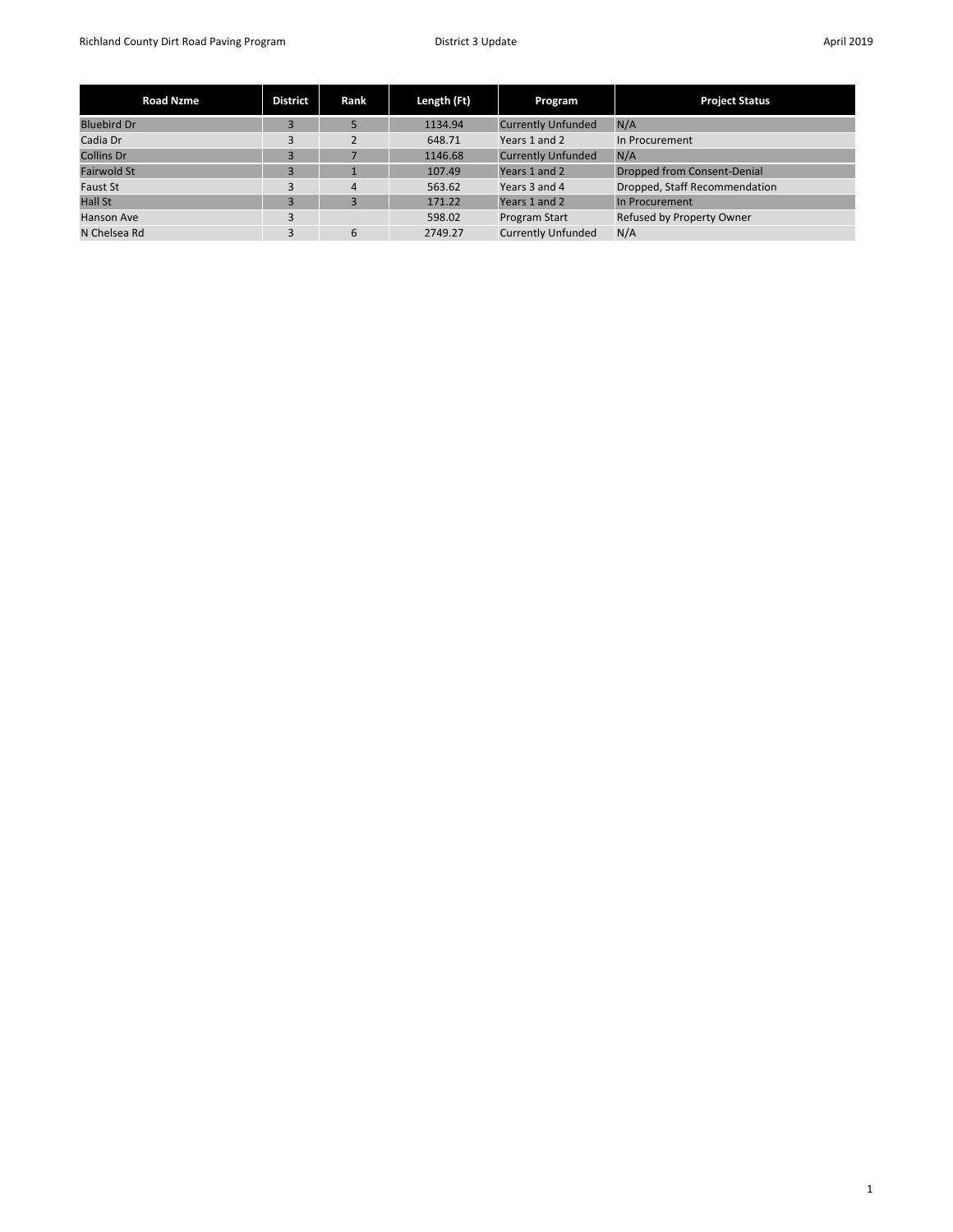| <b>Road Nzme</b>   | <b>District</b> | Rank           | Length (Ft) | Program                   | <b>Project Status</b>         |
|--------------------|-----------------|----------------|-------------|---------------------------|-------------------------------|
| <b>Bluebird Dr</b> |                 |                | 1134.94     | <b>Currently Unfunded</b> | N/A                           |
| Cadia Dr           | 3               |                | 648.71      | Years 1 and 2             | In Procurement                |
| <b>Collins Dr</b>  | B               |                | 1146.68     | <b>Currently Unfunded</b> | N/A                           |
| <b>Fairwold St</b> | 3               |                | 107.49      | Years 1 and 2             | Dropped from Consent-Denial   |
| Faust St           | 3               | $\overline{4}$ | 563.62      | Years 3 and 4             | Dropped, Staff Recommendation |
| <b>Hall St</b>     | 3               |                | 171.22      | Years 1 and 2             | In Procurement                |
| Hanson Ave         | 3               |                | 598.02      | Program Start             | Refused by Property Owner     |
| N Chelsea Rd       |                 | 6              | 2749.27     | <b>Currently Unfunded</b> | N/A                           |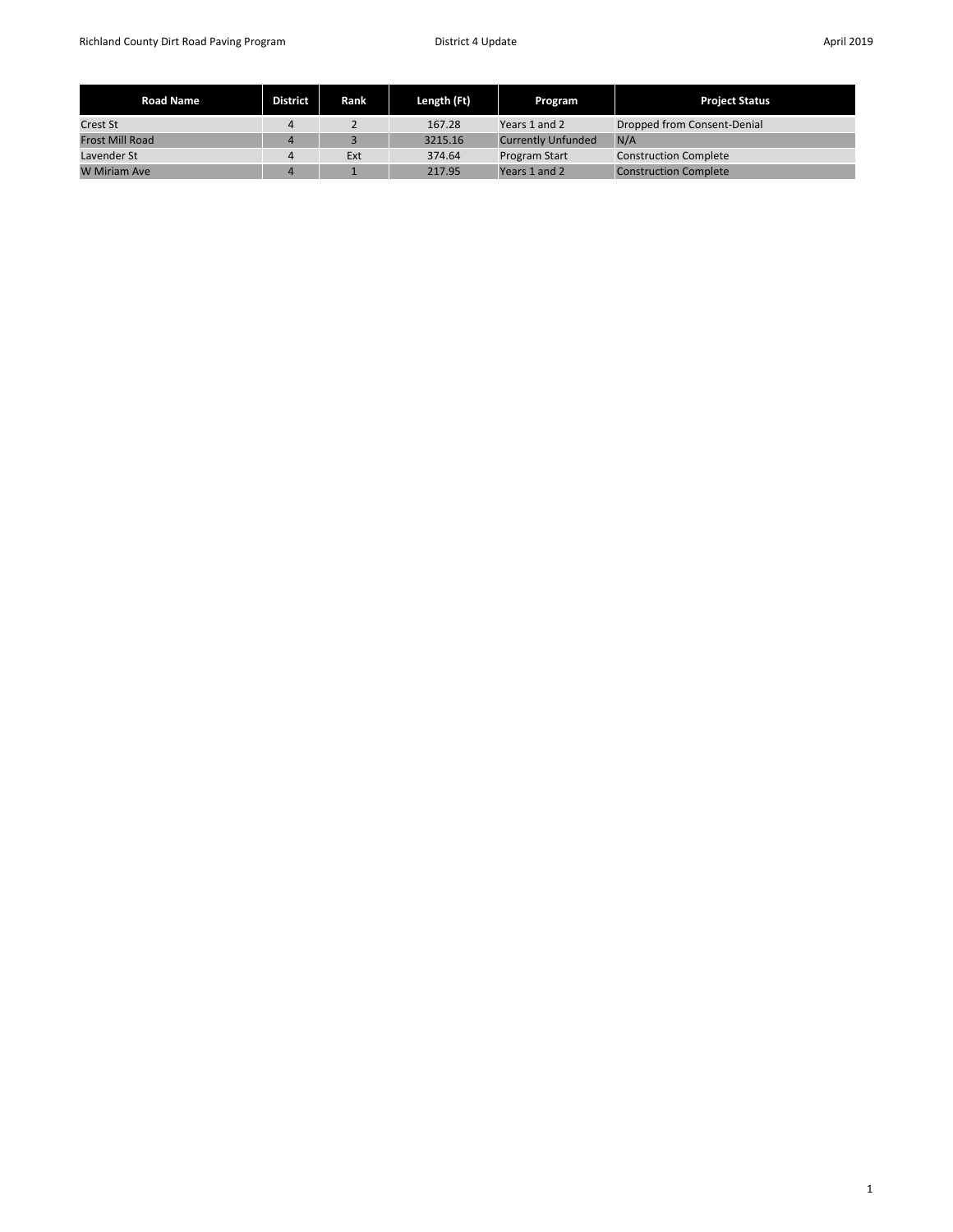| <b>Road Name</b>       | <b>District</b> | Rank | Length (Ft) | Program              | <b>Project Status</b>        |
|------------------------|-----------------|------|-------------|----------------------|------------------------------|
| <b>Crest St</b>        | 4               |      | 167.28      | Years 1 and 2        | Dropped from Consent-Denial  |
| <b>Frost Mill Road</b> | 4               |      | 3215.16     | Currently Unfunded   | N/A                          |
| Lavender St            | 4               | Ext  | 374.64      | <b>Program Start</b> | <b>Construction Complete</b> |
| <b>W</b> Miriam Ave    | 4               |      | 217.95      | Years 1 and 2        | <b>Construction Complete</b> |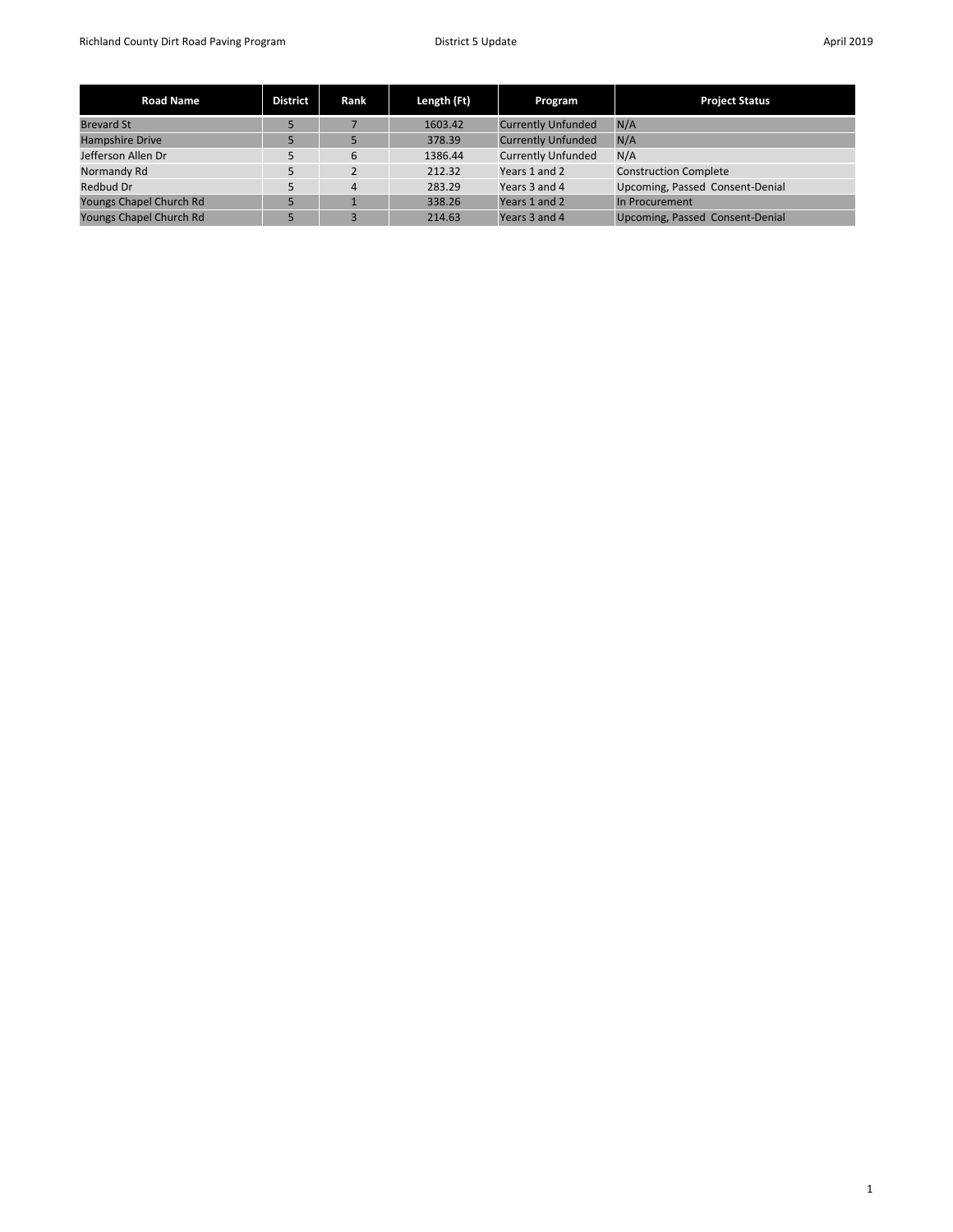| <b>Road Name</b>        | <b>District</b> | Rank           | Length (Ft) | Program                   | <b>Project Status</b>           |
|-------------------------|-----------------|----------------|-------------|---------------------------|---------------------------------|
| <b>Brevard St</b>       | 5               |                | 1603.42     | <b>Currently Unfunded</b> | N/A                             |
| <b>Hampshire Drive</b>  |                 |                | 378.39      | <b>Currently Unfunded</b> | N/A                             |
| Jefferson Allen Dr      | 5               | 6              | 1386.44     | <b>Currently Unfunded</b> | N/A                             |
| Normandy Rd             | 5               |                | 212.32      | Years 1 and 2             | <b>Construction Complete</b>    |
| Redbud Dr               | 5.              | $\overline{4}$ | 283.29      | Years 3 and 4             | Upcoming, Passed Consent-Denial |
| Youngs Chapel Church Rd | 5               |                | 338.26      | Years 1 and 2             | In Procurement                  |
| Youngs Chapel Church Rd |                 |                | 214.63      | Years 3 and 4             | Upcoming, Passed Consent-Denial |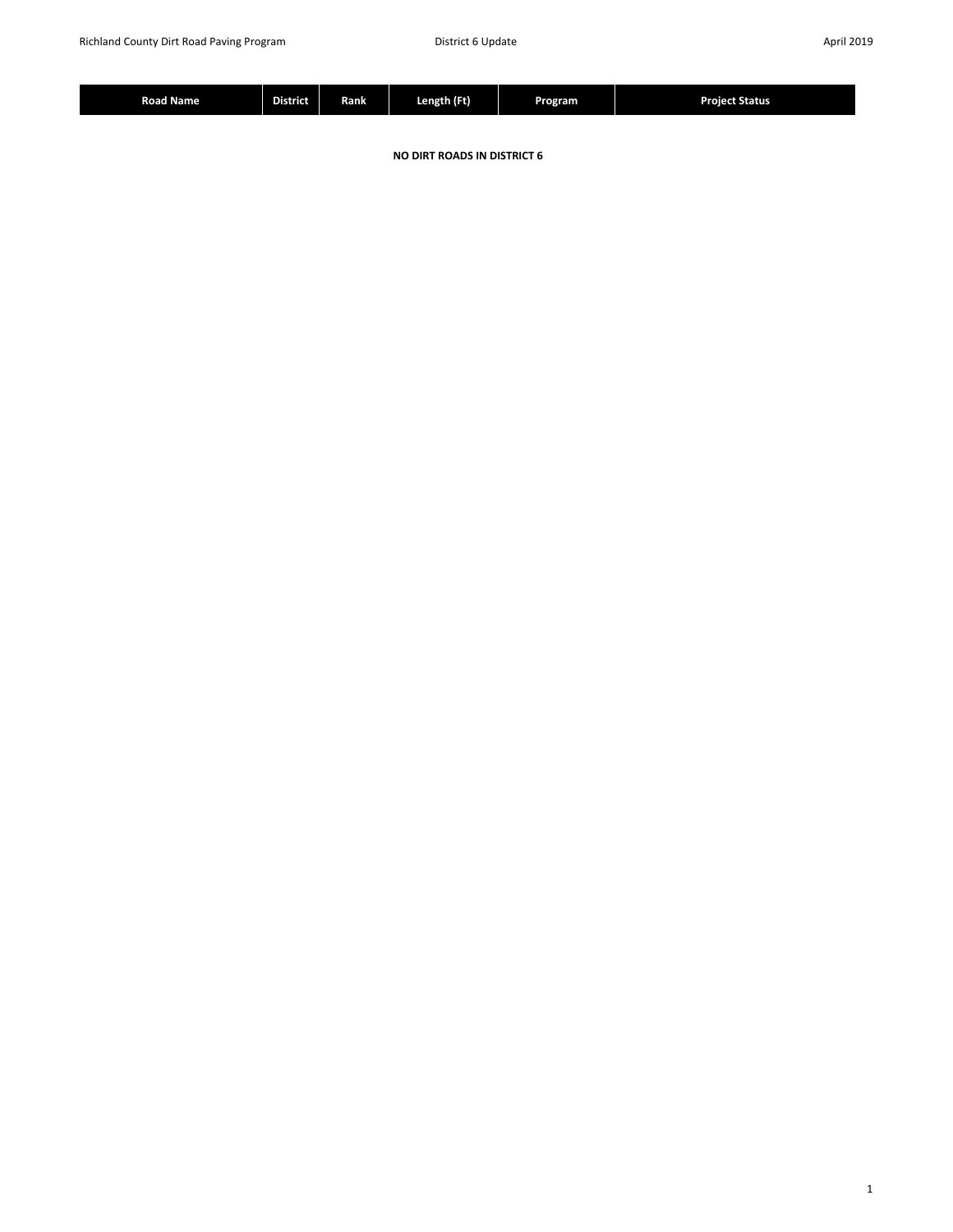|  | --<br>j<br>Road Name | --<br><b>District</b> | Rank | Length (Ft) | Program | <b>Project Status</b> |
|--|----------------------|-----------------------|------|-------------|---------|-----------------------|
|--|----------------------|-----------------------|------|-------------|---------|-----------------------|

**NO DIRT ROADS IN DISTRICT 6**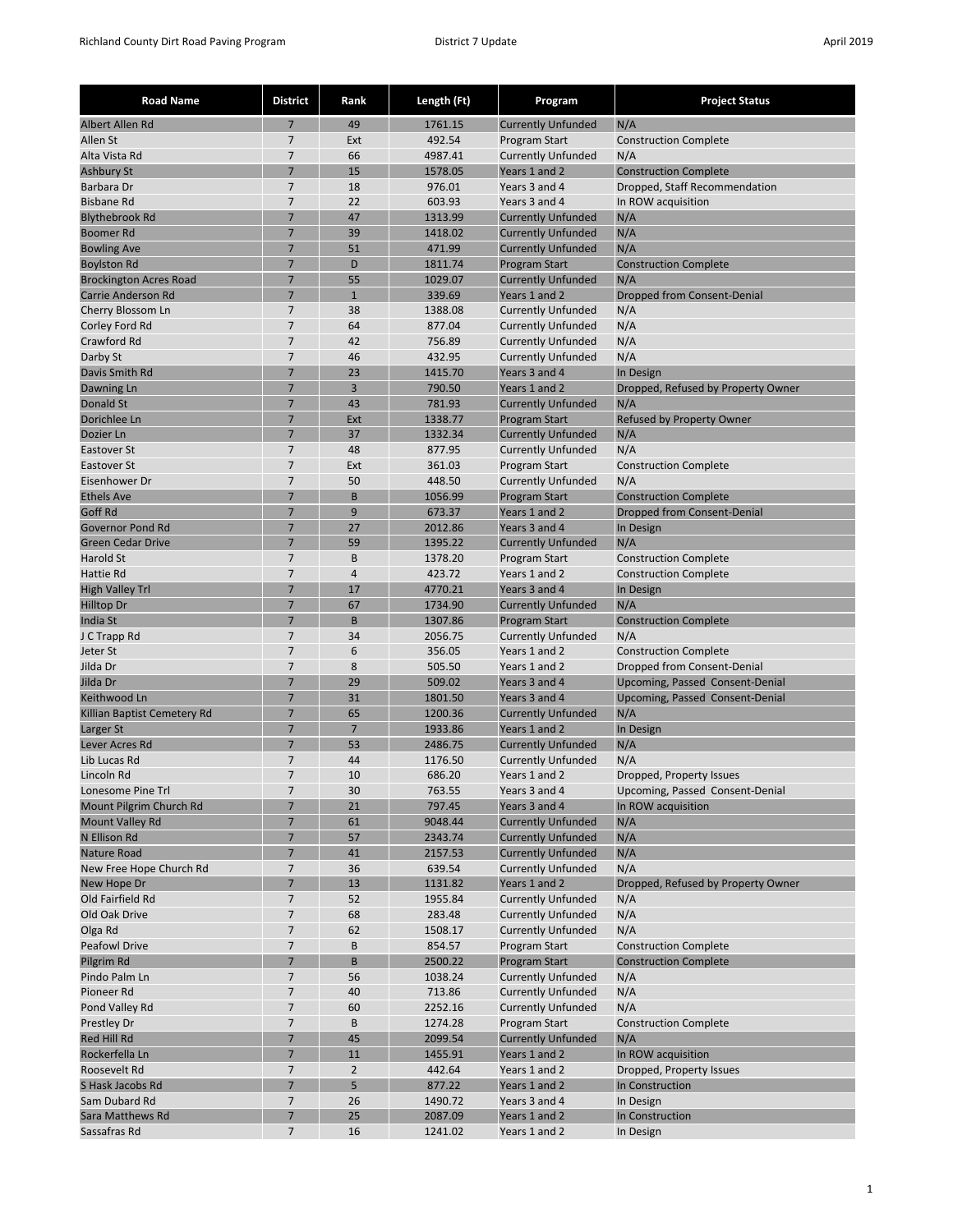| <b>Road Name</b>                        | <b>District</b>                  | Rank                 | Length (Ft)        | Program                                           | <b>Project Status</b>                     |
|-----------------------------------------|----------------------------------|----------------------|--------------------|---------------------------------------------------|-------------------------------------------|
| Albert Allen Rd                         | $\overline{7}$                   | 49                   | 1761.15            | <b>Currently Unfunded</b>                         | N/A                                       |
| Allen St                                | 7                                | Ext                  | 492.54             | Program Start                                     | <b>Construction Complete</b>              |
| Alta Vista Rd                           | 7                                | 66                   | 4987.41            | <b>Currently Unfunded</b>                         | N/A                                       |
| <b>Ashbury St</b>                       | 7                                | 15                   | 1578.05            | Years 1 and 2                                     | <b>Construction Complete</b>              |
| Barbara Dr                              | 7                                | 18                   | 976.01             | Years 3 and 4                                     | Dropped, Staff Recommendation             |
| <b>Bisbane Rd</b>                       | $\overline{7}$                   | 22                   | 603.93             | Years 3 and 4                                     | In ROW acquisition                        |
| <b>Blythebrook Rd</b>                   | 7                                | 47                   | 1313.99            | <b>Currently Unfunded</b>                         | N/A                                       |
| <b>Boomer Rd</b>                        | 7                                | 39                   | 1418.02            | <b>Currently Unfunded</b>                         | N/A                                       |
| <b>Bowling Ave</b>                      | $\overline{7}$                   | 51                   | 471.99             | <b>Currently Unfunded</b>                         | N/A                                       |
| <b>Boylston Rd</b>                      | 7                                | D                    | 1811.74            | <b>Program Start</b>                              | <b>Construction Complete</b>              |
| <b>Brockington Acres Road</b>           | $\overline{7}$<br>$\overline{7}$ | 55<br>$\overline{1}$ | 1029.07            | <b>Currently Unfunded</b>                         | N/A                                       |
| Carrie Anderson Rd<br>Cherry Blossom Ln | 7                                | 38                   | 339.69<br>1388.08  | Years 1 and 2<br><b>Currently Unfunded</b>        | Dropped from Consent-Denial<br>N/A        |
| Corley Ford Rd                          | 7                                | 64                   | 877.04             | <b>Currently Unfunded</b>                         | N/A                                       |
| Crawford Rd                             | $\overline{7}$                   | 42                   | 756.89             | <b>Currently Unfunded</b>                         | N/A                                       |
| Darby St                                | 7                                | 46                   | 432.95             | <b>Currently Unfunded</b>                         | N/A                                       |
| Davis Smith Rd                          | 7                                | 23                   | 1415.70            | Years 3 and 4                                     | In Design                                 |
| Dawning Ln                              | $\overline{7}$                   | $\overline{3}$       | 790.50             | Years 1 and 2                                     | Dropped, Refused by Property Owner        |
| Donald St                               | 7                                | 43                   | 781.93             | <b>Currently Unfunded</b>                         | N/A                                       |
| Dorichlee Ln                            | 7                                | Ext                  | 1338.77            | Program Start                                     | Refused by Property Owner                 |
| Dozier Ln                               | $\overline{7}$                   | 37                   | 1332.34            | <b>Currently Unfunded</b>                         | N/A                                       |
| Eastover St                             | $\overline{7}$                   | 48                   | 877.95             | <b>Currently Unfunded</b>                         | N/A                                       |
| <b>Eastover St</b>                      | $\overline{7}$                   | Ext                  | 361.03             | Program Start                                     | <b>Construction Complete</b>              |
| Eisenhower Dr                           | $\overline{7}$                   | 50                   | 448.50             | <b>Currently Unfunded</b>                         | N/A                                       |
| <b>Ethels Ave</b>                       | 7                                | B                    | 1056.99            | <b>Program Start</b>                              | <b>Construction Complete</b>              |
| Goff Rd                                 | 7                                | 9                    | 673.37             | Years 1 and 2                                     | <b>Dropped from Consent-Denial</b>        |
| <b>Governor Pond Rd</b>                 | $\overline{7}$                   | 27                   | 2012.86            | Years 3 and 4                                     | In Design                                 |
| <b>Green Cedar Drive</b>                | $\overline{7}$                   | 59                   | 1395.22            | <b>Currently Unfunded</b>                         | N/A                                       |
| Harold St                               | 7                                | B                    | 1378.20            | Program Start                                     | <b>Construction Complete</b>              |
| Hattie Rd                               | $\overline{7}$                   | $\overline{4}$       | 423.72             | Years 1 and 2                                     | <b>Construction Complete</b>              |
| <b>High Valley Trl</b>                  | $\overline{7}$                   | 17                   | 4770.21            | Years 3 and 4                                     | In Design                                 |
| <b>Hilltop Dr</b><br>India St           | 7<br>$\overline{7}$              | 67<br>B              | 1734.90<br>1307.86 | <b>Currently Unfunded</b><br><b>Program Start</b> | N/A<br><b>Construction Complete</b>       |
| J C Trapp Rd                            | $\overline{7}$                   | 34                   | 2056.75            | <b>Currently Unfunded</b>                         | N/A                                       |
| Jeter St                                | 7                                | 6                    | 356.05             | Years 1 and 2                                     | <b>Construction Complete</b>              |
| Jilda Dr                                | $\overline{7}$                   | 8                    | 505.50             | Years 1 and 2                                     | Dropped from Consent-Denial               |
| Jilda Dr                                | $\overline{7}$                   | 29                   | 509.02             | Years 3 and 4                                     | Upcoming, Passed Consent-Denial           |
| Keithwood Ln                            | 7                                | 31                   | 1801.50            | Years 3 and 4                                     | Upcoming, Passed Consent-Denial           |
| Killian Baptist Cemetery Rd             | $\overline{7}$                   | 65                   | 1200.36            | <b>Currently Unfunded</b>                         | N/A                                       |
| Larger St                               | $\overline{7}$                   | $\overline{7}$       | 1933.86            | Years 1 and 2                                     | In Design                                 |
| Lever Acres Rd                          | 7                                | 53                   | 2486.75            | <b>Currently Unfunded</b>                         | N/A                                       |
| Lib Lucas Rd                            | $\overline{7}$                   | 44                   | 1176.50            | <b>Currently Unfunded</b>                         | N/A                                       |
| Lincoln Rd                              | 7                                | 10                   | 686.20             | Years 1 and 2                                     | Dropped, Property Issues                  |
| Lonesome Pine Trl                       | 7                                | 30                   | 763.55             | Years 3 and 4                                     | Upcoming, Passed Consent-Denial           |
| Mount Pilgrim Church Rd                 | $\overline{7}$                   | 21                   | 797.45             | Years 3 and 4                                     | In ROW acquisition                        |
| <b>Mount Valley Rd</b>                  | 7                                | 61                   | 9048.44            | <b>Currently Unfunded</b>                         | N/A                                       |
| N Ellison Rd                            | 7                                | 57                   | 2343.74            | <b>Currently Unfunded</b>                         | N/A                                       |
| Nature Road                             | $\overline{7}$                   | 41                   | 2157.53            | <b>Currently Unfunded</b>                         | N/A                                       |
| New Free Hope Church Rd                 | 7<br>$\overline{7}$              | 36                   | 639.54             | <b>Currently Unfunded</b>                         | N/A                                       |
| New Hope Dr<br>Old Fairfield Rd         | $\overline{7}$                   | 13<br>52             | 1131.82<br>1955.84 | Years 1 and 2<br><b>Currently Unfunded</b>        | Dropped, Refused by Property Owner<br>N/A |
| Old Oak Drive                           | 7                                | 68                   | 283.48             | <b>Currently Unfunded</b>                         | N/A                                       |
| Olga Rd                                 | $\overline{7}$                   | 62                   | 1508.17            | <b>Currently Unfunded</b>                         | N/A                                       |
| <b>Peafowl Drive</b>                    | $\overline{7}$                   | B                    | 854.57             | Program Start                                     | <b>Construction Complete</b>              |
| Pilgrim Rd                              | $\overline{7}$                   | B                    | 2500.22            | <b>Program Start</b>                              | <b>Construction Complete</b>              |
| Pindo Palm Ln                           | $\overline{7}$                   | 56                   | 1038.24            | <b>Currently Unfunded</b>                         | N/A                                       |
| Pioneer Rd                              | $\overline{7}$                   | 40                   | 713.86             | <b>Currently Unfunded</b>                         | N/A                                       |
| Pond Valley Rd                          | $\overline{7}$                   | 60                   | 2252.16            | <b>Currently Unfunded</b>                         | N/A                                       |
| Prestley Dr                             | $\overline{7}$                   | B                    | 1274.28            | Program Start                                     | <b>Construction Complete</b>              |
| Red Hill Rd                             | 7                                | 45                   | 2099.54            | <b>Currently Unfunded</b>                         | N/A                                       |
| Rockerfella Ln                          | $\overline{7}$                   | 11                   | 1455.91            | Years 1 and 2                                     | In ROW acquisition                        |
| Roosevelt Rd                            | $\overline{7}$                   | $\overline{2}$       | 442.64             | Years 1 and 2                                     | Dropped, Property Issues                  |
| S Hask Jacobs Rd                        | $\overline{7}$                   | 5                    | 877.22             | Years 1 and 2                                     | In Construction                           |
| Sam Dubard Rd                           | $\overline{7}$                   | 26                   | 1490.72            | Years 3 and 4                                     | In Design                                 |
| Sara Matthews Rd                        | $\overline{7}$                   | 25                   | 2087.09            | Years 1 and 2                                     | In Construction                           |
| Sassafras Rd                            | $\overline{7}$                   | 16                   | 1241.02            | Years 1 and 2                                     | In Design                                 |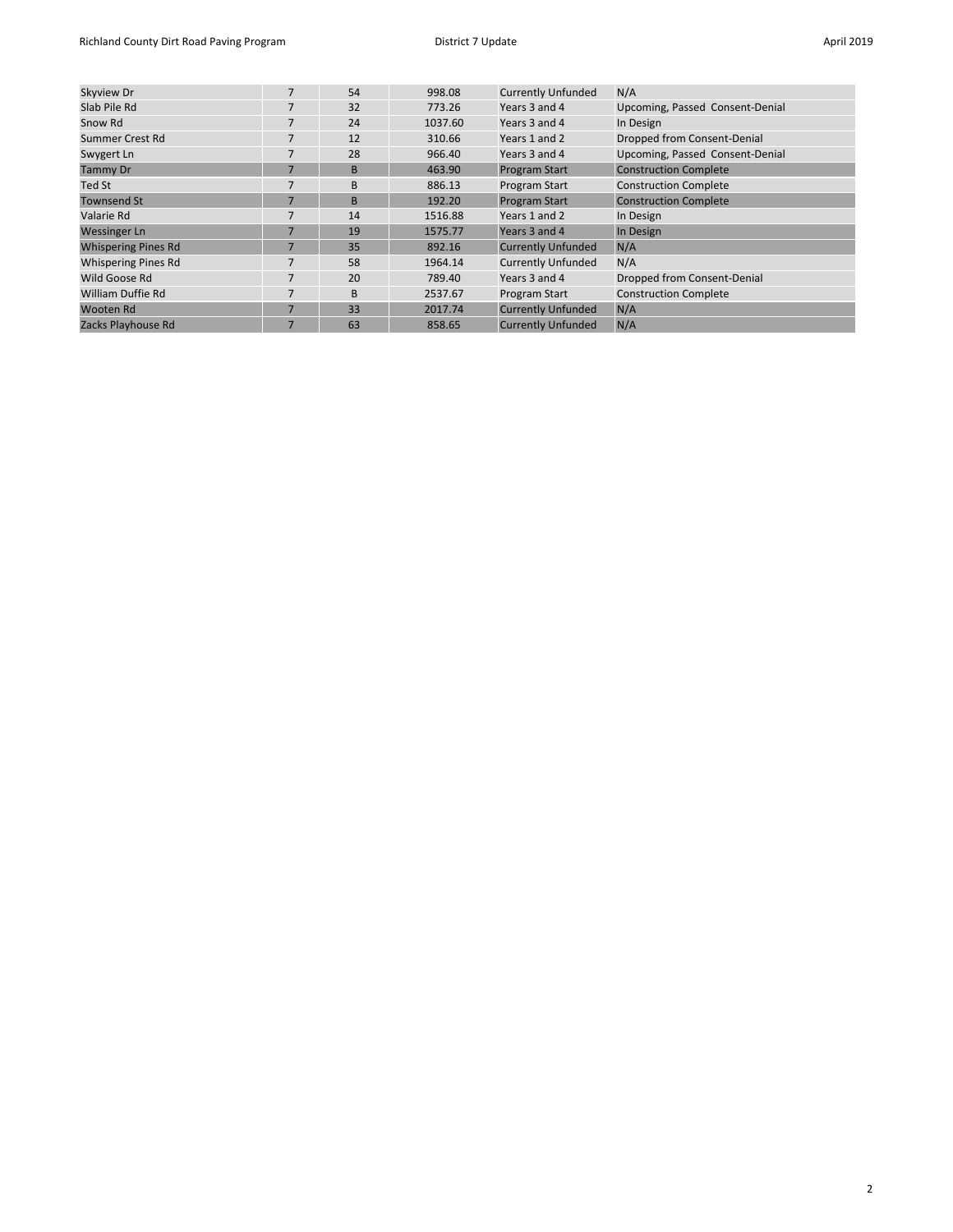| Skyview Dr                 | 7              | 54 | 998.08  | <b>Currently Unfunded</b> | N/A                             |
|----------------------------|----------------|----|---------|---------------------------|---------------------------------|
| Slab Pile Rd               | 7              | 32 | 773.26  | Years 3 and 4             | Upcoming, Passed Consent-Denial |
| Snow Rd                    | 7              | 24 | 1037.60 | Years 3 and 4             | In Design                       |
| Summer Crest Rd            | 7              | 12 | 310.66  | Years 1 and 2             | Dropped from Consent-Denial     |
| Swygert Ln                 | 7              | 28 | 966.40  | Years 3 and 4             | Upcoming, Passed Consent-Denial |
| <b>Tammy Dr</b>            | $\overline{7}$ | B  | 463.90  | <b>Program Start</b>      | <b>Construction Complete</b>    |
| Ted St                     | 7              | B  | 886.13  | Program Start             | <b>Construction Complete</b>    |
| <b>Townsend St</b>         | $\overline{7}$ | B  | 192.20  | <b>Program Start</b>      | <b>Construction Complete</b>    |
| Valarie Rd                 | 7              | 14 | 1516.88 | Years 1 and 2             | In Design                       |
| <b>Wessinger Ln</b>        | $\overline{7}$ | 19 | 1575.77 | Years 3 and 4             | In Design                       |
| <b>Whispering Pines Rd</b> | 7              | 35 | 892.16  | <b>Currently Unfunded</b> | N/A                             |
| <b>Whispering Pines Rd</b> | 7              | 58 | 1964.14 | <b>Currently Unfunded</b> | N/A                             |
| Wild Goose Rd              | 7              | 20 | 789.40  | Years 3 and 4             | Dropped from Consent-Denial     |
| William Duffie Rd          | 7              | B  | 2537.67 | Program Start             | <b>Construction Complete</b>    |
| Wooten Rd                  | $\overline{7}$ | 33 | 2017.74 | <b>Currently Unfunded</b> | N/A                             |
| Zacks Playhouse Rd         | $\overline{7}$ | 63 | 858.65  | <b>Currently Unfunded</b> | N/A                             |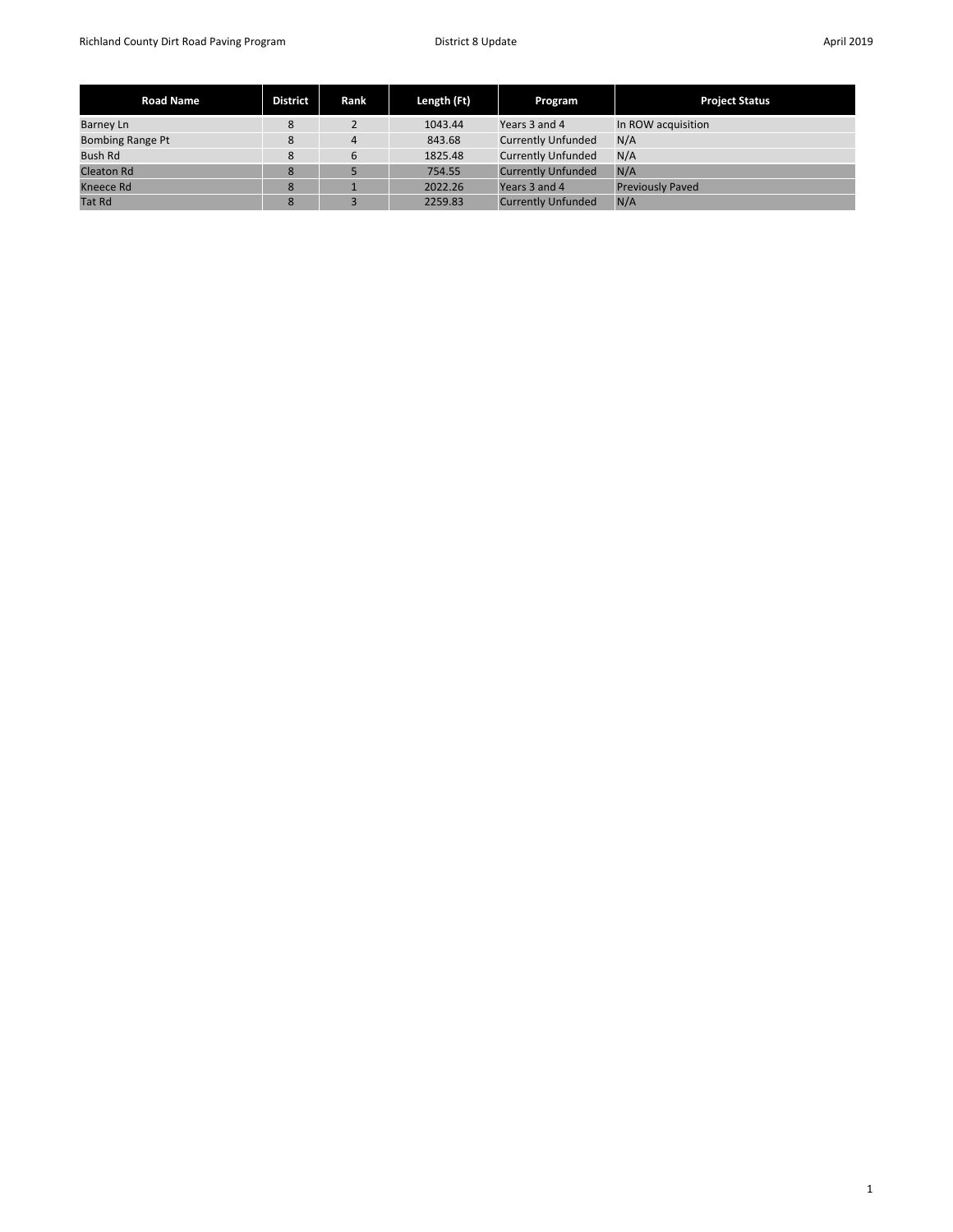| <b>Road Name</b>        | <b>District</b> | Rank | Length (Ft) | Program                   | <b>Project Status</b>   |
|-------------------------|-----------------|------|-------------|---------------------------|-------------------------|
| Barney Ln               | 8               |      | 1043.44     | Years 3 and 4             | In ROW acquisition      |
| <b>Bombing Range Pt</b> | 8               | 4    | 843.68      | <b>Currently Unfunded</b> | N/A                     |
| <b>Bush Rd</b>          | 8               | 6    | 1825.48     | <b>Currently Unfunded</b> | N/A                     |
| <b>Cleaton Rd</b>       | 8               |      | 754.55      | <b>Currently Unfunded</b> | N/A                     |
| Kneece Rd               | 8               |      | 2022.26     | Years 3 and 4             | <b>Previously Paved</b> |
| <b>Tat Rd</b>           | 8               |      | 2259.83     | <b>Currently Unfunded</b> | N/A                     |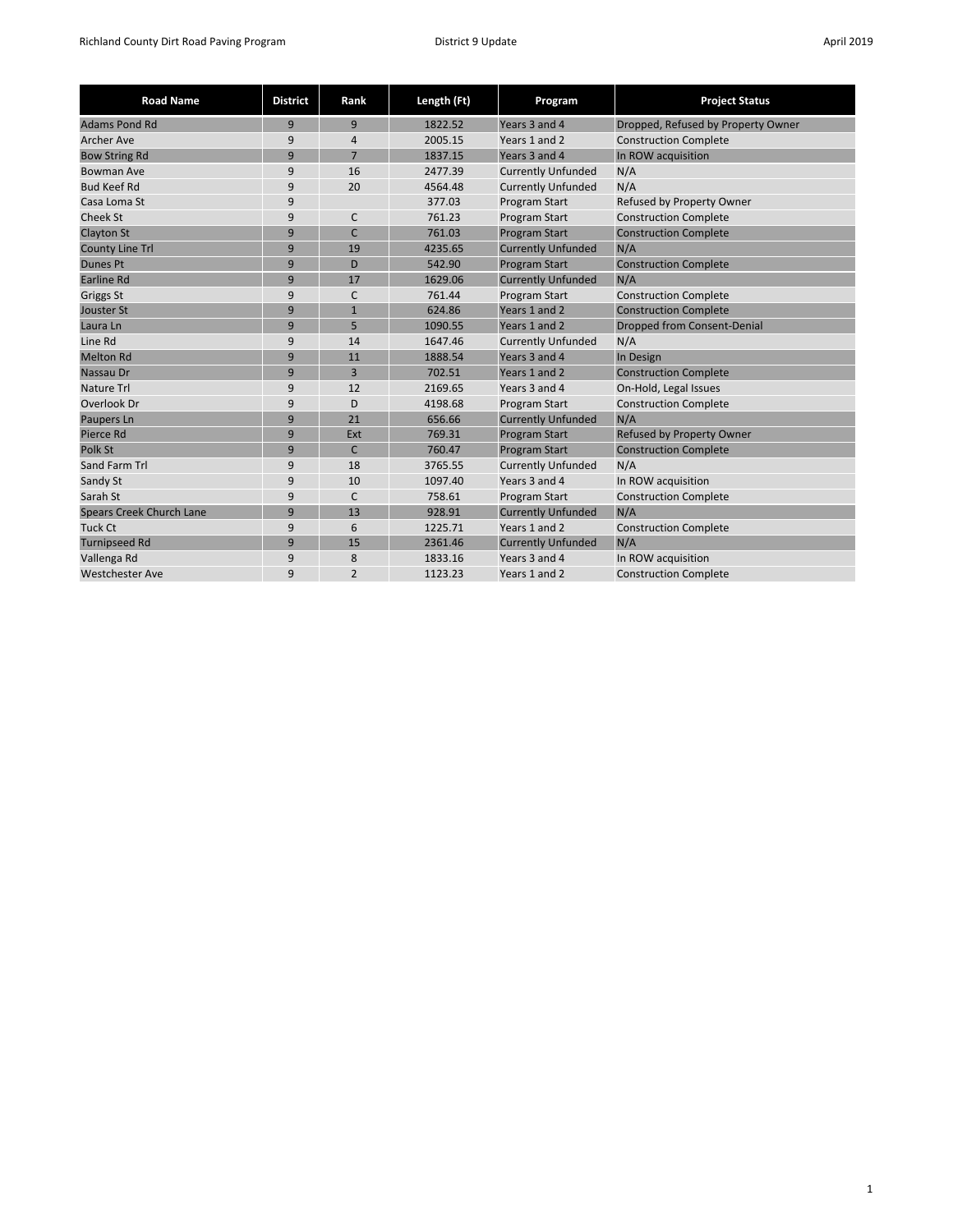| <b>Road Name</b>                | <b>District</b> | Rank           | Length (Ft) | Program                   | <b>Project Status</b>              |
|---------------------------------|-----------------|----------------|-------------|---------------------------|------------------------------------|
| <b>Adams Pond Rd</b>            | 9               | 9              | 1822.52     | Years 3 and 4             | Dropped, Refused by Property Owner |
| <b>Archer Ave</b>               | 9               | $\overline{4}$ | 2005.15     | Years 1 and 2             | <b>Construction Complete</b>       |
| <b>Bow String Rd</b>            | 9               | $\overline{7}$ | 1837.15     | Years 3 and 4             | In ROW acquisition                 |
| Bowman Ave                      | 9               | 16             | 2477.39     | <b>Currently Unfunded</b> | N/A                                |
| <b>Bud Keef Rd</b>              | 9               | 20             | 4564.48     | <b>Currently Unfunded</b> | N/A                                |
| Casa Loma St                    | 9               |                | 377.03      | Program Start             | Refused by Property Owner          |
| <b>Cheek St</b>                 | 9               | C              | 761.23      | Program Start             | <b>Construction Complete</b>       |
| <b>Clayton St</b>               | 9               | $\mathsf{C}$   | 761.03      | <b>Program Start</b>      | <b>Construction Complete</b>       |
| <b>County Line Trl</b>          | 9               | 19             | 4235.65     | <b>Currently Unfunded</b> | N/A                                |
| <b>Dunes Pt</b>                 | 9               | D              | 542.90      | <b>Program Start</b>      | <b>Construction Complete</b>       |
| <b>Earline Rd</b>               | 9               | 17             | 1629.06     | <b>Currently Unfunded</b> | N/A                                |
| Griggs St                       | 9               | C              | 761.44      | Program Start             | <b>Construction Complete</b>       |
| Jouster St                      | 9               | $\mathbf{1}$   | 624.86      | Years 1 and 2             | <b>Construction Complete</b>       |
| Laura Ln                        | 9               | 5              | 1090.55     | Years 1 and 2             | <b>Dropped from Consent-Denial</b> |
| Line Rd                         | 9               | 14             | 1647.46     | <b>Currently Unfunded</b> | N/A                                |
| <b>Melton Rd</b>                | 9               | 11             | 1888.54     | Years 3 and 4             | In Design                          |
| Nassau Dr                       | 9               | 3              | 702.51      | Years 1 and 2             | <b>Construction Complete</b>       |
| <b>Nature Trl</b>               | 9               | 12             | 2169.65     | Years 3 and 4             | On-Hold, Legal Issues              |
| Overlook Dr                     | 9               | D              | 4198.68     | Program Start             | <b>Construction Complete</b>       |
| Paupers Ln                      | 9               | 21             | 656.66      | <b>Currently Unfunded</b> | N/A                                |
| Pierce Rd                       | 9               | Ext            | 769.31      | <b>Program Start</b>      | <b>Refused by Property Owner</b>   |
| Polk St                         | 9               | $\mathsf{C}$   | 760.47      | <b>Program Start</b>      | <b>Construction Complete</b>       |
| Sand Farm Trl                   | 9               | 18             | 3765.55     | <b>Currently Unfunded</b> | N/A                                |
| Sandy St                        | 9               | 10             | 1097.40     | Years 3 and 4             | In ROW acquisition                 |
| Sarah St                        | 9               | C              | 758.61      | Program Start             | <b>Construction Complete</b>       |
| <b>Spears Creek Church Lane</b> | 9               | 13             | 928.91      | <b>Currently Unfunded</b> | N/A                                |
| <b>Tuck Ct</b>                  | 9               | 6              | 1225.71     | Years 1 and 2             | <b>Construction Complete</b>       |
| <b>Turnipseed Rd</b>            | 9               | 15             | 2361.46     | <b>Currently Unfunded</b> | N/A                                |
| Vallenga Rd                     | 9               | 8              | 1833.16     | Years 3 and 4             | In ROW acquisition                 |
| <b>Westchester Ave</b>          | 9               | $\overline{2}$ | 1123.23     | Years 1 and 2             | <b>Construction Complete</b>       |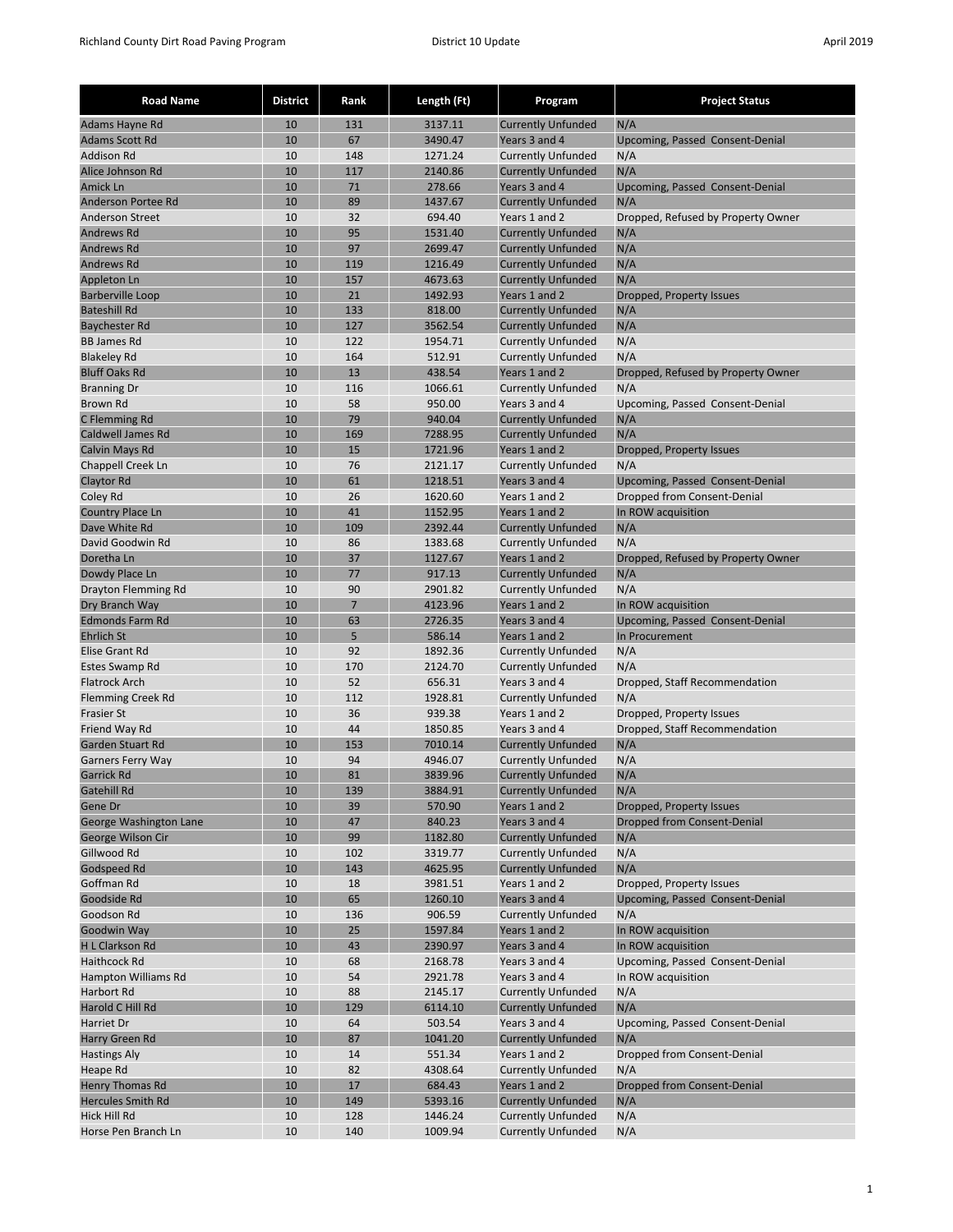| <b>Road Name</b>                               | <b>District</b> | Rank      | Length (Ft)        | Program                                                | <b>Project Status</b>                             |
|------------------------------------------------|-----------------|-----------|--------------------|--------------------------------------------------------|---------------------------------------------------|
| Adams Hayne Rd                                 | 10              | 131       | 3137.11            | <b>Currently Unfunded</b>                              | N/A                                               |
| <b>Adams Scott Rd</b>                          | 10              | 67        | 3490.47            | Years 3 and 4                                          | Upcoming, Passed Consent-Denial                   |
| <b>Addison Rd</b>                              | 10              | 148       | 1271.24            | <b>Currently Unfunded</b>                              | N/A                                               |
| Alice Johnson Rd                               | 10              | 117       | 2140.86            | <b>Currently Unfunded</b>                              | N/A                                               |
| Amick Ln                                       | 10              | 71        | 278.66             | Years 3 and 4                                          | Upcoming, Passed Consent-Denial                   |
| Anderson Portee Rd                             | 10              | 89        | 1437.67            | <b>Currently Unfunded</b>                              | N/A                                               |
| <b>Anderson Street</b>                         | 10              | 32        | 694.40             | Years 1 and 2                                          | Dropped, Refused by Property Owner                |
| Andrews Rd                                     | 10              | 95        | 1531.40            | <b>Currently Unfunded</b>                              | N/A                                               |
| <b>Andrews Rd</b>                              | 10              | 97        | 2699.47            | <b>Currently Unfunded</b>                              | N/A                                               |
| Andrews Rd                                     | 10              | 119       | 1216.49            | <b>Currently Unfunded</b>                              | N/A                                               |
| <b>Appleton Ln</b>                             | 10              | 157       | 4673.63            | <b>Currently Unfunded</b>                              | N/A                                               |
| <b>Barberville Loop</b><br><b>Bateshill Rd</b> | 10<br>10        | 21<br>133 | 1492.93<br>818.00  | Years 1 and 2<br><b>Currently Unfunded</b>             | Dropped, Property Issues<br>N/A                   |
| <b>Baychester Rd</b>                           | 10              | 127       | 3562.54            | <b>Currently Unfunded</b>                              | N/A                                               |
| <b>BB James Rd</b>                             | 10              | 122       | 1954.71            | <b>Currently Unfunded</b>                              | N/A                                               |
| <b>Blakeley Rd</b>                             | 10              | 164       | 512.91             | <b>Currently Unfunded</b>                              | N/A                                               |
| <b>Bluff Oaks Rd</b>                           | 10              | 13        | 438.54             | Years 1 and 2                                          | Dropped, Refused by Property Owner                |
| <b>Branning Dr</b>                             | 10              | 116       | 1066.61            | <b>Currently Unfunded</b>                              | N/A                                               |
| <b>Brown Rd</b>                                | 10              | 58        | 950.00             | Years 3 and 4                                          | Upcoming, Passed Consent-Denial                   |
| C Flemming Rd                                  | 10              | 79        | 940.04             | <b>Currently Unfunded</b>                              | N/A                                               |
| <b>Caldwell James Rd</b>                       | 10              | 169       | 7288.95            | <b>Currently Unfunded</b>                              | N/A                                               |
| Calvin Mays Rd                                 | 10              | 15        | 1721.96            | Years 1 and 2                                          | Dropped, Property Issues                          |
| <b>Chappell Creek Ln</b>                       | 10              | 76        | 2121.17            | <b>Currently Unfunded</b>                              | N/A                                               |
| Claytor Rd                                     | 10              | 61        | 1218.51            | Years 3 and 4                                          | Upcoming, Passed Consent-Denial                   |
| Coley Rd                                       | 10              | 26        | 1620.60            | Years 1 and 2                                          | Dropped from Consent-Denial                       |
| Country Place Ln                               | 10              | 41        | 1152.95            | Years 1 and 2                                          | In ROW acquisition                                |
| Dave White Rd                                  | 10              | 109       | 2392.44            | <b>Currently Unfunded</b>                              | N/A                                               |
| David Goodwin Rd                               | 10              | 86        | 1383.68            | <b>Currently Unfunded</b>                              | N/A                                               |
| Doretha Ln                                     | 10              | 37        | 1127.67            | Years 1 and 2                                          | Dropped, Refused by Property Owner                |
| Dowdy Place Ln                                 | 10              | 77        | 917.13             | <b>Currently Unfunded</b>                              | N/A                                               |
| Drayton Flemming Rd                            | 10              | 90        | 2901.82            | <b>Currently Unfunded</b>                              | N/A                                               |
| Dry Branch Way<br><b>Edmonds Farm Rd</b>       | 10<br>10        | 7<br>63   | 4123.96<br>2726.35 | Years 1 and 2<br>Years 3 and 4                         | In ROW acquisition                                |
| <b>Ehrlich St</b>                              | 10              | 5         | 586.14             | Years 1 and 2                                          | Upcoming, Passed Consent-Denial<br>In Procurement |
| Elise Grant Rd                                 | 10              | 92        | 1892.36            | <b>Currently Unfunded</b>                              | N/A                                               |
| Estes Swamp Rd                                 | 10              | 170       | 2124.70            | <b>Currently Unfunded</b>                              | N/A                                               |
| <b>Flatrock Arch</b>                           | 10              | 52        | 656.31             | Years 3 and 4                                          | Dropped, Staff Recommendation                     |
| <b>Flemming Creek Rd</b>                       | 10              | 112       | 1928.81            | <b>Currently Unfunded</b>                              | N/A                                               |
| <b>Frasier St</b>                              | 10              | 36        | 939.38             | Years 1 and 2                                          | Dropped, Property Issues                          |
| Friend Way Rd                                  | 10              | 44        | 1850.85            | Years 3 and 4                                          | Dropped, Staff Recommendation                     |
| <b>Garden Stuart Rd</b>                        | 10              | 153       | 7010.14            | <b>Currently Unfunded</b>                              | N/A                                               |
| <b>Garners Ferry Way</b>                       | 10              | 94        | 4946.07            | <b>Currently Unfunded</b>                              | N/A                                               |
| Garrick Rd                                     | 10              | 81        | 3839.96            | <b>Currently Unfunded</b>                              | N/A                                               |
| <b>Gatehill Rd</b>                             | 10              | 139       | 3884.91            | <b>Currently Unfunded</b>                              | N/A                                               |
| Gene Dr                                        | 10              | 39        | 570.90             | Years 1 and 2                                          | Dropped, Property Issues                          |
| George Washington Lane                         | 10              | 47        | 840.23             | Years 3 and 4                                          | Dropped from Consent-Denial                       |
| George Wilson Cir                              | 10              | 99        | 1182.80            | <b>Currently Unfunded</b>                              | N/A                                               |
| Gillwood Rd                                    | 10              | 102       | 3319.77            | <b>Currently Unfunded</b><br><b>Currently Unfunded</b> | N/A                                               |
| <b>Godspeed Rd</b><br>Goffman Rd               | 10<br>10        | 143<br>18 | 4625.95<br>3981.51 | Years 1 and 2                                          | N/A<br>Dropped, Property Issues                   |
| Goodside Rd                                    | 10              | 65        | 1260.10            | Years 3 and 4                                          | Upcoming, Passed Consent-Denial                   |
| Goodson Rd                                     | 10              | 136       | 906.59             | <b>Currently Unfunded</b>                              | N/A                                               |
| Goodwin Way                                    | 10              | 25        | 1597.84            | Years 1 and 2                                          | In ROW acquisition                                |
| <b>H L Clarkson Rd</b>                         | 10              | 43        | 2390.97            | Years 3 and 4                                          | In ROW acquisition                                |
| Haithcock Rd                                   | 10              | 68        | 2168.78            | Years 3 and 4                                          | Upcoming, Passed Consent-Denial                   |
| Hampton Williams Rd                            | 10              | 54        | 2921.78            | Years 3 and 4                                          | In ROW acquisition                                |
| Harbort Rd                                     | 10              | 88        | 2145.17            | <b>Currently Unfunded</b>                              | N/A                                               |
| Harold C Hill Rd                               | 10              | 129       | 6114.10            | <b>Currently Unfunded</b>                              | N/A                                               |
| Harriet Dr                                     | 10              | 64        | 503.54             | Years 3 and 4                                          | Upcoming, Passed Consent-Denial                   |
| Harry Green Rd                                 | 10              | 87        | 1041.20            | <b>Currently Unfunded</b>                              | N/A                                               |
| <b>Hastings Aly</b>                            | 10              | 14        | 551.34             | Years 1 and 2                                          | Dropped from Consent-Denial                       |
| Heape Rd                                       | 10              | 82        | 4308.64            | <b>Currently Unfunded</b>                              | N/A                                               |
| <b>Henry Thomas Rd</b>                         | 10              | 17        | 684.43             | Years 1 and 2                                          | Dropped from Consent-Denial                       |
| <b>Hercules Smith Rd</b>                       | 10              | 149       | 5393.16            | <b>Currently Unfunded</b>                              | N/A                                               |
| Hick Hill Rd                                   | 10              | 128       | 1446.24            | <b>Currently Unfunded</b>                              | N/A                                               |
| Horse Pen Branch Ln                            | 10              | 140       | 1009.94            | <b>Currently Unfunded</b>                              | N/A                                               |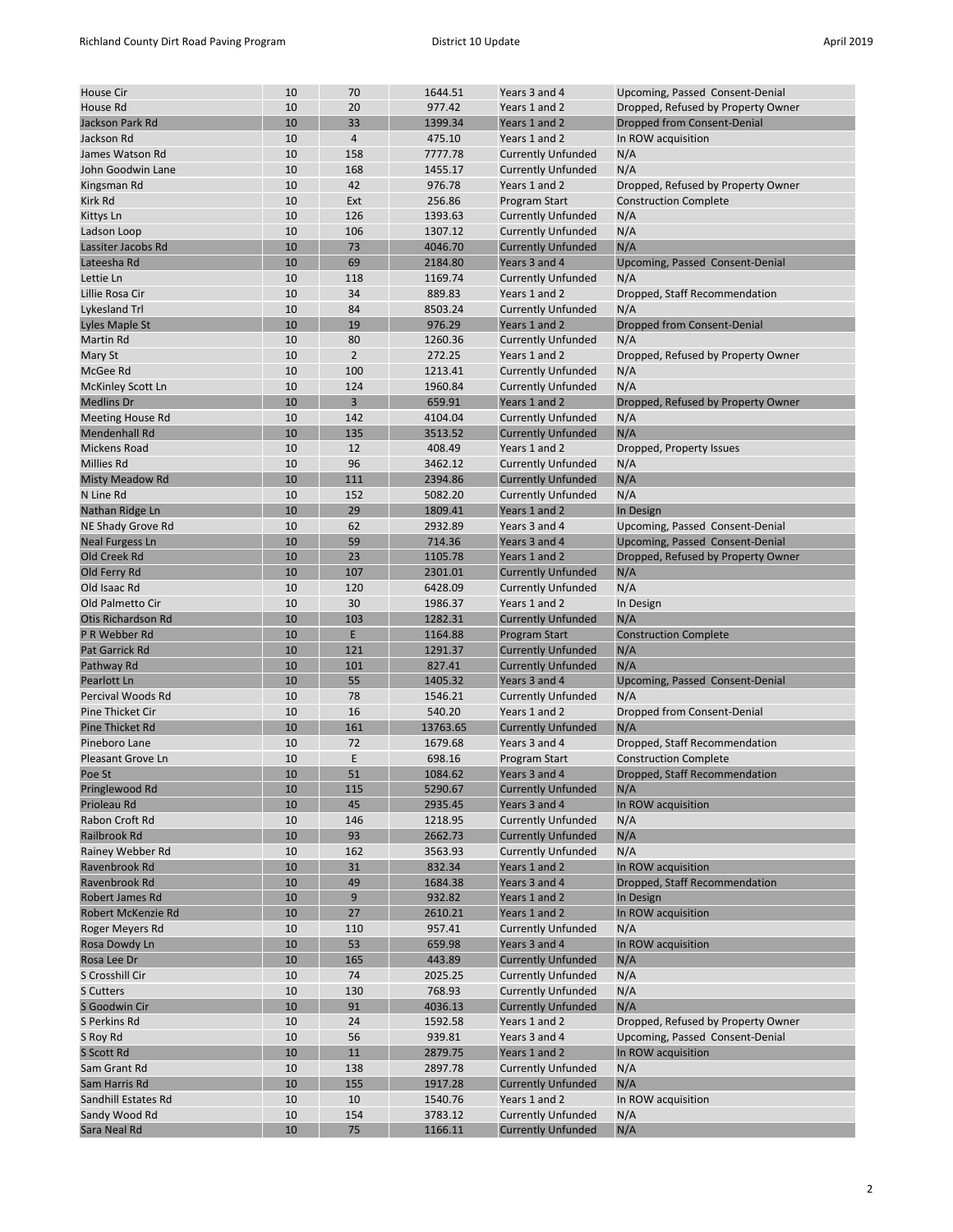| <b>House Cir</b>          | 10 | 70             | 1644.51  | Years 3 and 4             | Upcoming, Passed Consent-Denial    |
|---------------------------|----|----------------|----------|---------------------------|------------------------------------|
| House Rd                  | 10 | 20             | 977.42   | Years 1 and 2             | Dropped, Refused by Property Owner |
| Jackson Park Rd           | 10 | 33             | 1399.34  | Years 1 and 2             | Dropped from Consent-Denial        |
| Jackson Rd                | 10 | $\overline{4}$ | 475.10   | Years 1 and 2             | In ROW acquisition                 |
| James Watson Rd           | 10 | 158            | 7777.78  | <b>Currently Unfunded</b> | N/A                                |
| John Goodwin Lane         | 10 | 168            | 1455.17  | <b>Currently Unfunded</b> | N/A                                |
| Kingsman Rd               | 10 | 42             | 976.78   | Years 1 and 2             | Dropped, Refused by Property Owner |
| Kirk Rd                   | 10 | Ext            | 256.86   | Program Start             | <b>Construction Complete</b>       |
|                           |    |                |          |                           |                                    |
| Kittys Ln                 | 10 | 126            | 1393.63  | <b>Currently Unfunded</b> | N/A                                |
| Ladson Loop               | 10 | 106            | 1307.12  | <b>Currently Unfunded</b> | N/A                                |
| Lassiter Jacobs Rd        | 10 | 73             | 4046.70  | <b>Currently Unfunded</b> | N/A                                |
| Lateesha Rd               | 10 | 69             | 2184.80  | Years 3 and 4             | Upcoming, Passed Consent-Denial    |
| Lettie Ln                 | 10 | 118            | 1169.74  | <b>Currently Unfunded</b> | N/A                                |
| Lillie Rosa Cir           | 10 | 34             | 889.83   | Years 1 and 2             | Dropped, Staff Recommendation      |
| Lykesland Trl             | 10 | 84             | 8503.24  | <b>Currently Unfunded</b> | N/A                                |
| Lyles Maple St            | 10 | 19             | 976.29   | Years 1 and 2             | Dropped from Consent-Denial        |
| Martin Rd                 | 10 | 80             | 1260.36  | <b>Currently Unfunded</b> | N/A                                |
| Mary St                   | 10 | $\overline{2}$ | 272.25   | Years 1 and 2             | Dropped, Refused by Property Owner |
| McGee Rd                  | 10 | 100            | 1213.41  | <b>Currently Unfunded</b> | N/A                                |
| <b>McKinley Scott Ln</b>  | 10 | 124            | 1960.84  | <b>Currently Unfunded</b> | N/A                                |
| <b>Medlins Dr</b>         | 10 | 3              | 659.91   | Years 1 and 2             | Dropped, Refused by Property Owner |
| Meeting House Rd          | 10 | 142            | 4104.04  | <b>Currently Unfunded</b> | N/A                                |
| <b>Mendenhall Rd</b>      | 10 | 135            | 3513.52  | <b>Currently Unfunded</b> | N/A                                |
| <b>Mickens Road</b>       | 10 | 12             | 408.49   | Years 1 and 2             |                                    |
|                           |    |                |          |                           | Dropped, Property Issues           |
| <b>Millies Rd</b>         | 10 | 96             | 3462.12  | <b>Currently Unfunded</b> | N/A                                |
| <b>Misty Meadow Rd</b>    | 10 | 111            | 2394.86  | <b>Currently Unfunded</b> | N/A                                |
| N Line Rd                 | 10 | 152            | 5082.20  | <b>Currently Unfunded</b> | N/A                                |
| Nathan Ridge Ln           | 10 | 29             | 1809.41  | Years 1 and 2             | In Design                          |
| NE Shady Grove Rd         | 10 | 62             | 2932.89  | Years 3 and 4             | Upcoming, Passed Consent-Denial    |
| <b>Neal Furgess Ln</b>    | 10 | 59             | 714.36   | Years 3 and 4             | Upcoming, Passed Consent-Denial    |
| Old Creek Rd              | 10 | 23             | 1105.78  | Years 1 and 2             | Dropped, Refused by Property Owner |
| Old Ferry Rd              | 10 | 107            | 2301.01  | <b>Currently Unfunded</b> | N/A                                |
| Old Isaac Rd              | 10 | 120            | 6428.09  | <b>Currently Unfunded</b> | N/A                                |
| Old Palmetto Cir          | 10 | 30             | 1986.37  | Years 1 and 2             | In Design                          |
| <b>Otis Richardson Rd</b> | 10 | 103            | 1282.31  | <b>Currently Unfunded</b> | N/A                                |
| P R Webber Rd             | 10 | E              | 1164.88  | <b>Program Start</b>      | <b>Construction Complete</b>       |
| Pat Garrick Rd            | 10 | 121            | 1291.37  | <b>Currently Unfunded</b> | N/A                                |
| Pathway Rd                | 10 | 101            | 827.41   | <b>Currently Unfunded</b> | N/A                                |
| Pearlott Ln               | 10 | 55             | 1405.32  | Years 3 and 4             | Upcoming, Passed Consent-Denial    |
|                           | 10 | 78             | 1546.21  |                           |                                    |
| Percival Woods Rd         |    |                | 540.20   | <b>Currently Unfunded</b> | N/A                                |
| Pine Thicket Cir          | 10 | 16             |          | Years 1 and 2             | Dropped from Consent-Denial        |
| Pine Thicket Rd           | 10 | 161            | 13763.65 | <b>Currently Unfunded</b> | N/A                                |
| Pineboro Lane             | 10 | 72             | 1679.68  | Years 3 and 4             | Dropped, Staff Recommendation      |
| Pleasant Grove Ln         | 10 | Ε              | 698.16   | Program Start             | <b>Construction Complete</b>       |
| Poe St                    | 10 | 51             | 1084.62  | Years 3 and 4             | Dropped, Staff Recommendation      |
| Pringlewood Rd            | 10 | 115            | 5290.67  | <b>Currently Unfunded</b> | N/A                                |
| Prioleau Rd               | 10 | 45             | 2935.45  | Years 3 and 4             | In ROW acquisition                 |
| Rabon Croft Rd            | 10 | 146            | 1218.95  | <b>Currently Unfunded</b> | N/A                                |
| Railbrook Rd              | 10 | 93             | 2662.73  | <b>Currently Unfunded</b> | N/A                                |
| Rainey Webber Rd          | 10 | 162            | 3563.93  | <b>Currently Unfunded</b> | N/A                                |
| Ravenbrook Rd             | 10 | 31             | 832.34   | Years 1 and 2             | In ROW acquisition                 |
| Ravenbrook Rd             | 10 | 49             | 1684.38  | Years 3 and 4             | Dropped, Staff Recommendation      |
| Robert James Rd           | 10 | 9              | 932.82   | Years 1 and 2             | In Design                          |
| Robert McKenzie Rd        | 10 | 27             | 2610.21  | Years 1 and 2             | In ROW acquisition                 |
| Roger Meyers Rd           | 10 | 110            | 957.41   | <b>Currently Unfunded</b> | N/A                                |
| Rosa Dowdy Ln             | 10 | 53             | 659.98   |                           | In ROW acquisition                 |
|                           |    |                |          | Years 3 and 4             |                                    |
| Rosa Lee Dr               | 10 | 165            | 443.89   | <b>Currently Unfunded</b> | N/A                                |
| S Crosshill Cir           | 10 | 74             | 2025.25  | <b>Currently Unfunded</b> | N/A                                |
| S Cutters                 | 10 | 130            | 768.93   | <b>Currently Unfunded</b> | N/A                                |
| S Goodwin Cir             | 10 | 91             | 4036.13  | <b>Currently Unfunded</b> | N/A                                |
| S Perkins Rd              | 10 | 24             | 1592.58  | Years 1 and 2             | Dropped, Refused by Property Owner |
| S Roy Rd                  | 10 | 56             | 939.81   | Years 3 and 4             | Upcoming, Passed Consent-Denial    |
| S Scott Rd                | 10 | 11             | 2879.75  | Years 1 and 2             | In ROW acquisition                 |
| Sam Grant Rd              | 10 | 138            | 2897.78  | <b>Currently Unfunded</b> | N/A                                |
| Sam Harris Rd             | 10 | 155            | 1917.28  | <b>Currently Unfunded</b> | N/A                                |
| Sandhill Estates Rd       | 10 | 10             | 1540.76  | Years 1 and 2             | In ROW acquisition                 |
| Sandy Wood Rd             | 10 | 154            | 3783.12  | <b>Currently Unfunded</b> | N/A                                |
| Sara Neal Rd              | 10 | 75             | 1166.11  | <b>Currently Unfunded</b> | N/A                                |
|                           |    |                |          |                           |                                    |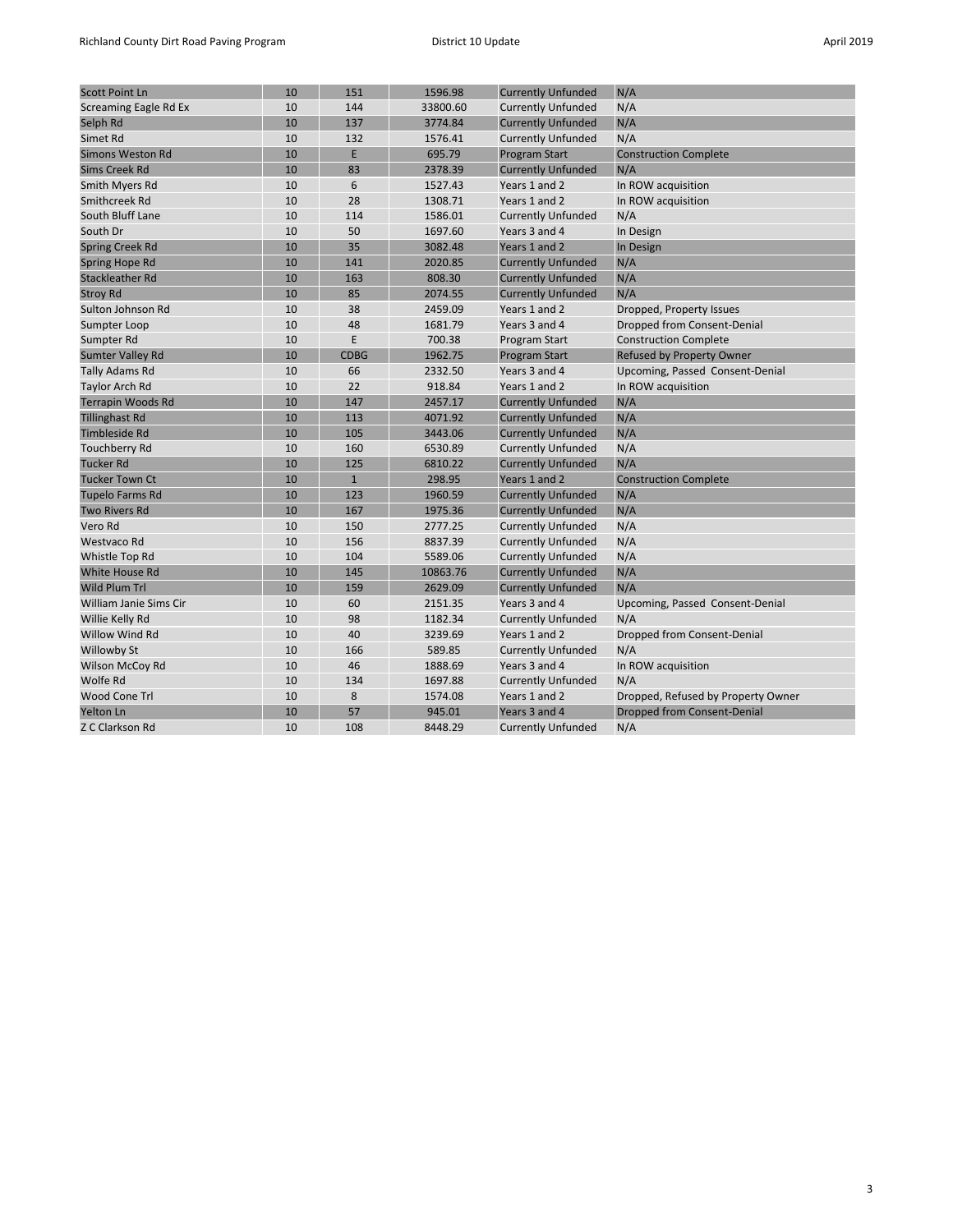| <b>Scott Point Ln</b>    | 10 | 151          | 1596.98  | <b>Currently Unfunded</b> | N/A                                |
|--------------------------|----|--------------|----------|---------------------------|------------------------------------|
| Screaming Eagle Rd Ex    | 10 | 144          | 33800.60 | <b>Currently Unfunded</b> | N/A                                |
| Selph Rd                 | 10 | 137          | 3774.84  | <b>Currently Unfunded</b> | N/A                                |
| Simet Rd                 | 10 | 132          | 1576.41  | <b>Currently Unfunded</b> | N/A                                |
| <b>Simons Weston Rd</b>  | 10 | E            | 695.79   | <b>Program Start</b>      | <b>Construction Complete</b>       |
| <b>Sims Creek Rd</b>     | 10 | 83           | 2378.39  | <b>Currently Unfunded</b> | N/A                                |
| Smith Myers Rd           | 10 | 6            | 1527.43  | Years 1 and 2             | In ROW acquisition                 |
| Smithcreek Rd            | 10 | 28           | 1308.71  | Years 1 and 2             | In ROW acquisition                 |
| South Bluff Lane         | 10 | 114          | 1586.01  | <b>Currently Unfunded</b> | N/A                                |
| South Dr                 | 10 | 50           | 1697.60  | Years 3 and 4             | In Design                          |
| <b>Spring Creek Rd</b>   | 10 | 35           | 3082.48  | Years 1 and 2             | In Design                          |
| Spring Hope Rd           | 10 | 141          | 2020.85  | <b>Currently Unfunded</b> | N/A                                |
| <b>Stackleather Rd</b>   | 10 | 163          | 808.30   | <b>Currently Unfunded</b> | N/A                                |
| <b>Stroy Rd</b>          | 10 | 85           | 2074.55  | <b>Currently Unfunded</b> | N/A                                |
| Sulton Johnson Rd        | 10 | 38           | 2459.09  | Years 1 and 2             | Dropped, Property Issues           |
| Sumpter Loop             | 10 | 48           | 1681.79  | Years 3 and 4             | Dropped from Consent-Denial        |
| Sumpter Rd               | 10 | E            | 700.38   | Program Start             | <b>Construction Complete</b>       |
| <b>Sumter Valley Rd</b>  | 10 | <b>CDBG</b>  | 1962.75  | <b>Program Start</b>      | <b>Refused by Property Owner</b>   |
| Tally Adams Rd           | 10 | 66           | 2332.50  | Years 3 and 4             | Upcoming, Passed Consent-Denial    |
| Taylor Arch Rd           | 10 | 22           | 918.84   | Years 1 and 2             | In ROW acquisition                 |
| <b>Terrapin Woods Rd</b> | 10 | 147          | 2457.17  | <b>Currently Unfunded</b> | N/A                                |
| <b>Tillinghast Rd</b>    | 10 | 113          | 4071.92  | <b>Currently Unfunded</b> | N/A                                |
| <b>Timbleside Rd</b>     | 10 | 105          | 3443.06  | <b>Currently Unfunded</b> | N/A                                |
| <b>Touchberry Rd</b>     | 10 | 160          | 6530.89  | <b>Currently Unfunded</b> | N/A                                |
| <b>Tucker Rd</b>         | 10 | 125          | 6810.22  | <b>Currently Unfunded</b> | N/A                                |
| <b>Tucker Town Ct</b>    | 10 | $\mathbf{1}$ | 298.95   | Years 1 and 2             | <b>Construction Complete</b>       |
| <b>Tupelo Farms Rd</b>   | 10 | 123          | 1960.59  | <b>Currently Unfunded</b> | N/A                                |
| <b>Two Rivers Rd</b>     | 10 | 167          | 1975.36  | <b>Currently Unfunded</b> | N/A                                |
| Vero Rd                  | 10 | 150          | 2777.25  | <b>Currently Unfunded</b> | N/A                                |
| Westvaco Rd              | 10 | 156          | 8837.39  | <b>Currently Unfunded</b> | N/A                                |
| Whistle Top Rd           | 10 | 104          | 5589.06  | <b>Currently Unfunded</b> | N/A                                |
| White House Rd           | 10 | 145          | 10863.76 | <b>Currently Unfunded</b> | N/A                                |
| Wild Plum Trl            | 10 | 159          | 2629.09  | <b>Currently Unfunded</b> | N/A                                |
| William Janie Sims Cir   | 10 | 60           | 2151.35  | Years 3 and 4             | Upcoming, Passed Consent-Denial    |
| Willie Kelly Rd          | 10 | 98           | 1182.34  | <b>Currently Unfunded</b> | N/A                                |
| Willow Wind Rd           | 10 | 40           | 3239.69  | Years 1 and 2             | Dropped from Consent-Denial        |
| <b>Willowby St</b>       | 10 | 166          | 589.85   | <b>Currently Unfunded</b> | N/A                                |
| <b>Wilson McCoy Rd</b>   | 10 | 46           | 1888.69  | Years 3 and 4             | In ROW acquisition                 |
| Wolfe Rd                 | 10 | 134          | 1697.88  | <b>Currently Unfunded</b> | N/A                                |
| <b>Wood Cone Trl</b>     | 10 | 8            | 1574.08  | Years 1 and 2             | Dropped, Refused by Property Owner |
| <b>Yelton Ln</b>         | 10 | 57           | 945.01   | Years 3 and 4             | Dropped from Consent-Denial        |
| Z C Clarkson Rd          | 10 | 108          | 8448.29  | <b>Currently Unfunded</b> | N/A                                |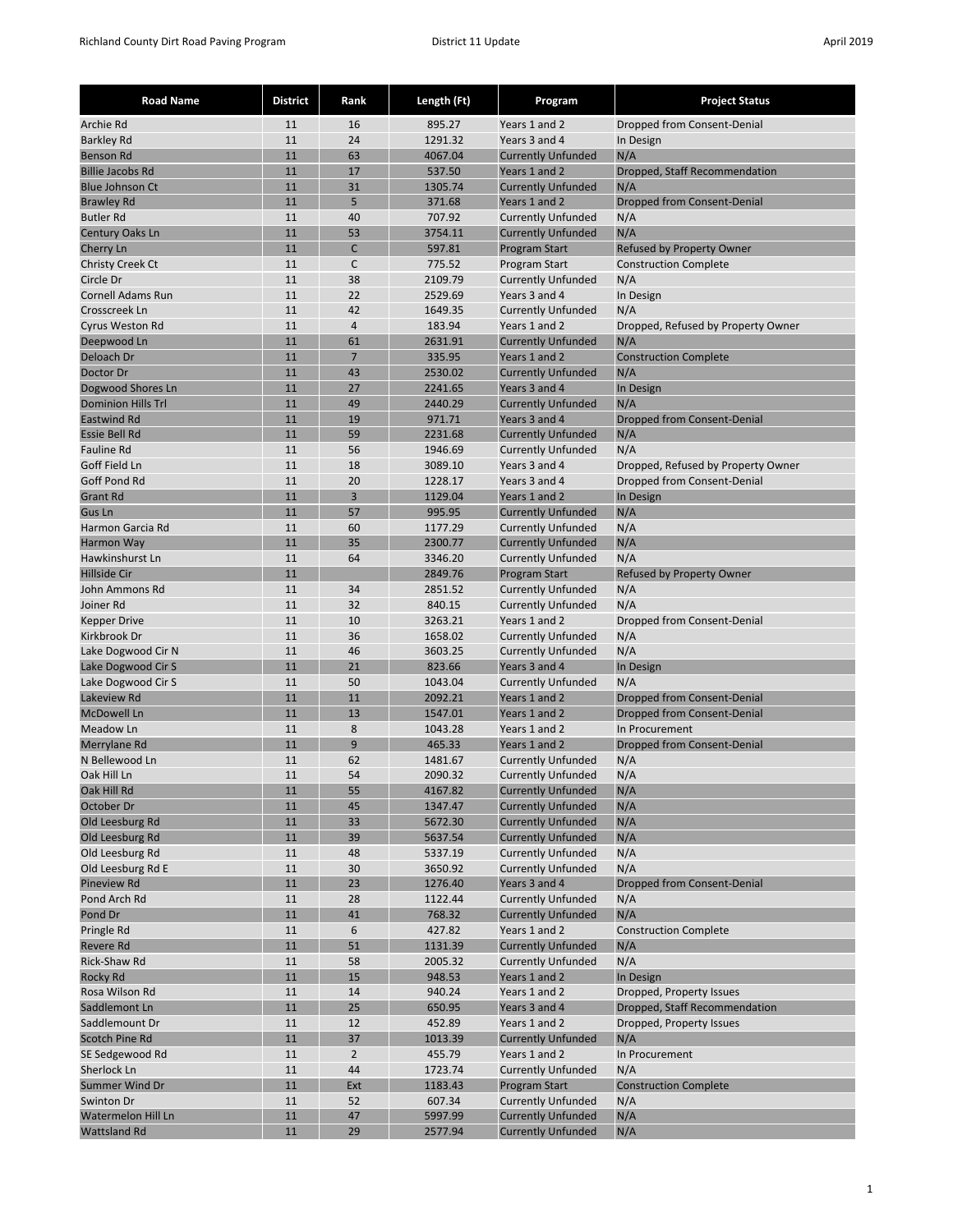| <b>Road Name</b>                          | <b>District</b> | Rank           | Length (Ft)        | Program                                    | <b>Project Status</b>              |
|-------------------------------------------|-----------------|----------------|--------------------|--------------------------------------------|------------------------------------|
| Archie Rd                                 | 11              | 16             | 895.27             | Years 1 and 2                              | Dropped from Consent-Denial        |
| <b>Barkley Rd</b>                         | 11              | 24             | 1291.32            | Years 3 and 4                              | In Design                          |
| <b>Benson Rd</b>                          | 11              | 63             | 4067.04            | <b>Currently Unfunded</b>                  | N/A                                |
| <b>Billie Jacobs Rd</b>                   | 11              | 17             | 537.50             | Years 1 and 2                              | Dropped, Staff Recommendation      |
| <b>Blue Johnson Ct</b>                    | 11              | 31             | 1305.74            | <b>Currently Unfunded</b>                  | N/A                                |
| <b>Brawley Rd</b>                         | 11              | 5              | 371.68             | Years 1 and 2                              | Dropped from Consent-Denial        |
| <b>Butler Rd</b>                          | 11              | 40             | 707.92             | <b>Currently Unfunded</b>                  | N/A                                |
| Century Oaks Ln                           | 11              | 53             | 3754.11            | <b>Currently Unfunded</b>                  | N/A                                |
| Cherry Ln                                 | 11              | C              | 597.81             | <b>Program Start</b>                       | <b>Refused by Property Owner</b>   |
| <b>Christy Creek Ct</b>                   | 11              | C              | 775.52             | Program Start                              | <b>Construction Complete</b>       |
| Circle Dr                                 | 11<br>11        | 38<br>22       | 2109.79            | <b>Currently Unfunded</b>                  | N/A                                |
| <b>Cornell Adams Run</b><br>Crosscreek Ln | 11              | 42             | 2529.69<br>1649.35 | Years 3 and 4<br><b>Currently Unfunded</b> | In Design<br>N/A                   |
| Cyrus Weston Rd                           | 11              | $\overline{4}$ | 183.94             | Years 1 and 2                              | Dropped, Refused by Property Owner |
| Deepwood Ln                               | 11              | 61             | 2631.91            | <b>Currently Unfunded</b>                  | N/A                                |
| Deloach Dr                                | 11              | $\overline{7}$ | 335.95             | Years 1 and 2                              | <b>Construction Complete</b>       |
| Doctor Dr                                 | 11              | 43             | 2530.02            | <b>Currently Unfunded</b>                  | N/A                                |
| Dogwood Shores Ln                         | 11              | 27             | 2241.65            | Years 3 and 4                              | In Design                          |
| <b>Dominion Hills Trl</b>                 | 11              | 49             | 2440.29            | <b>Currently Unfunded</b>                  | N/A                                |
| Eastwind Rd                               | 11              | 19             | 971.71             | Years 3 and 4                              | Dropped from Consent-Denial        |
| <b>Essie Bell Rd</b>                      | 11              | 59             | 2231.68            | <b>Currently Unfunded</b>                  | N/A                                |
| <b>Fauline Rd</b>                         | 11              | 56             | 1946.69            | <b>Currently Unfunded</b>                  | N/A                                |
| Goff Field Ln                             | 11              | 18             | 3089.10            | Years 3 and 4                              | Dropped, Refused by Property Owner |
| Goff Pond Rd                              | 11              | 20             | 1228.17            | Years 3 and 4                              | Dropped from Consent-Denial        |
| <b>Grant Rd</b>                           | 11              | 3              | 1129.04            | Years 1 and 2                              | In Design                          |
| Gus Ln                                    | 11              | 57             | 995.95             | <b>Currently Unfunded</b>                  | N/A                                |
| Harmon Garcia Rd                          | 11              | 60             | 1177.29            | <b>Currently Unfunded</b>                  | N/A                                |
| Harmon Way                                | 11              | 35             | 2300.77            | <b>Currently Unfunded</b>                  | N/A                                |
| Hawkinshurst Ln                           | 11              | 64             | 3346.20            | <b>Currently Unfunded</b>                  | N/A                                |
| <b>Hillside Cir</b>                       | 11              |                | 2849.76            | <b>Program Start</b>                       | <b>Refused by Property Owner</b>   |
| John Ammons Rd                            | 11              | 34             | 2851.52            | <b>Currently Unfunded</b>                  | N/A                                |
| Joiner Rd                                 | 11              | 32             | 840.15             | <b>Currently Unfunded</b>                  | N/A                                |
| <b>Kepper Drive</b>                       | 11              | 10             | 3263.21            | Years 1 and 2                              | Dropped from Consent-Denial        |
| Kirkbrook Dr                              | 11              | 36             | 1658.02            | <b>Currently Unfunded</b>                  | N/A                                |
| Lake Dogwood Cir N<br>Lake Dogwood Cir S  | 11<br>11        | 46<br>21       | 3603.25<br>823.66  | <b>Currently Unfunded</b><br>Years 3 and 4 | N/A<br>In Design                   |
| Lake Dogwood Cir S                        | 11              | 50             | 1043.04            | <b>Currently Unfunded</b>                  | N/A                                |
| Lakeview Rd                               | 11              | 11             | 2092.21            | Years 1 and 2                              | Dropped from Consent-Denial        |
| <b>McDowell Ln</b>                        | 11              | 13             | 1547.01            | Years 1 and 2                              | Dropped from Consent-Denial        |
| Meadow Ln                                 | 11              | 8              | 1043.28            | Years 1 and 2                              | In Procurement                     |
| Merrylane Rd                              | 11              | 9              | 465.33             | Years 1 and 2                              | Dropped from Consent-Denial        |
| N Bellewood Ln                            | 11              | 62             | 1481.67            | <b>Currently Unfunded</b>                  | N/A                                |
| Oak Hill Ln                               | 11              | 54             | 2090.32            | <b>Currently Unfunded</b>                  | N/A                                |
| Oak Hill Rd                               | 11              | 55             | 4167.82            | <b>Currently Unfunded</b>                  | N/A                                |
| October Dr                                | 11              | 45             | 1347.47            | <b>Currently Unfunded</b>                  | N/A                                |
| Old Leesburg Rd                           | 11              | 33             | 5672.30            | <b>Currently Unfunded</b>                  | N/A                                |
| Old Leesburg Rd                           | 11              | 39             | 5637.54            | <b>Currently Unfunded</b>                  | N/A                                |
| Old Leesburg Rd                           | 11              | 48             | 5337.19            | <b>Currently Unfunded</b>                  | N/A                                |
| Old Leesburg Rd E                         | 11              | 30             | 3650.92            | <b>Currently Unfunded</b>                  | N/A                                |
| <b>Pineview Rd</b>                        | 11              | 23             | 1276.40            | Years 3 and 4                              | Dropped from Consent-Denial        |
| Pond Arch Rd                              | 11              | 28             | 1122.44            | <b>Currently Unfunded</b>                  | N/A                                |
| Pond Dr                                   | 11              | 41             | 768.32             | <b>Currently Unfunded</b>                  | N/A                                |
| Pringle Rd                                | 11              | 6              | 427.82             | Years 1 and 2                              | <b>Construction Complete</b>       |
| <b>Revere Rd</b>                          | 11              | 51             | 1131.39<br>2005.32 | <b>Currently Unfunded</b>                  | N/A                                |
| Rick-Shaw Rd<br>Rocky Rd                  | 11<br>11        | 58<br>15       | 948.53             | <b>Currently Unfunded</b><br>Years 1 and 2 | N/A<br>In Design                   |
| Rosa Wilson Rd                            | 11              | 14             | 940.24             | Years 1 and 2                              | Dropped, Property Issues           |
| Saddlemont Ln                             | 11              | 25             | 650.95             | Years 3 and 4                              | Dropped, Staff Recommendation      |
| Saddlemount Dr                            | 11              | 12             | 452.89             | Years 1 and 2                              | Dropped, Property Issues           |
| Scotch Pine Rd                            | 11              | 37             | 1013.39            | <b>Currently Unfunded</b>                  | N/A                                |
| SE Sedgewood Rd                           | 11              | $\overline{2}$ | 455.79             | Years 1 and 2                              | In Procurement                     |
| Sherlock Ln                               | 11              | 44             | 1723.74            | <b>Currently Unfunded</b>                  | N/A                                |
| Summer Wind Dr                            | 11              | Ext            | 1183.43            | <b>Program Start</b>                       | <b>Construction Complete</b>       |
| Swinton Dr                                | 11              | 52             | 607.34             | <b>Currently Unfunded</b>                  | N/A                                |
| Watermelon Hill Ln                        | 11              | 47             | 5997.99            | <b>Currently Unfunded</b>                  | N/A                                |
| <b>Wattsland Rd</b>                       | 11              | 29             | 2577.94            | <b>Currently Unfunded</b>                  | N/A                                |